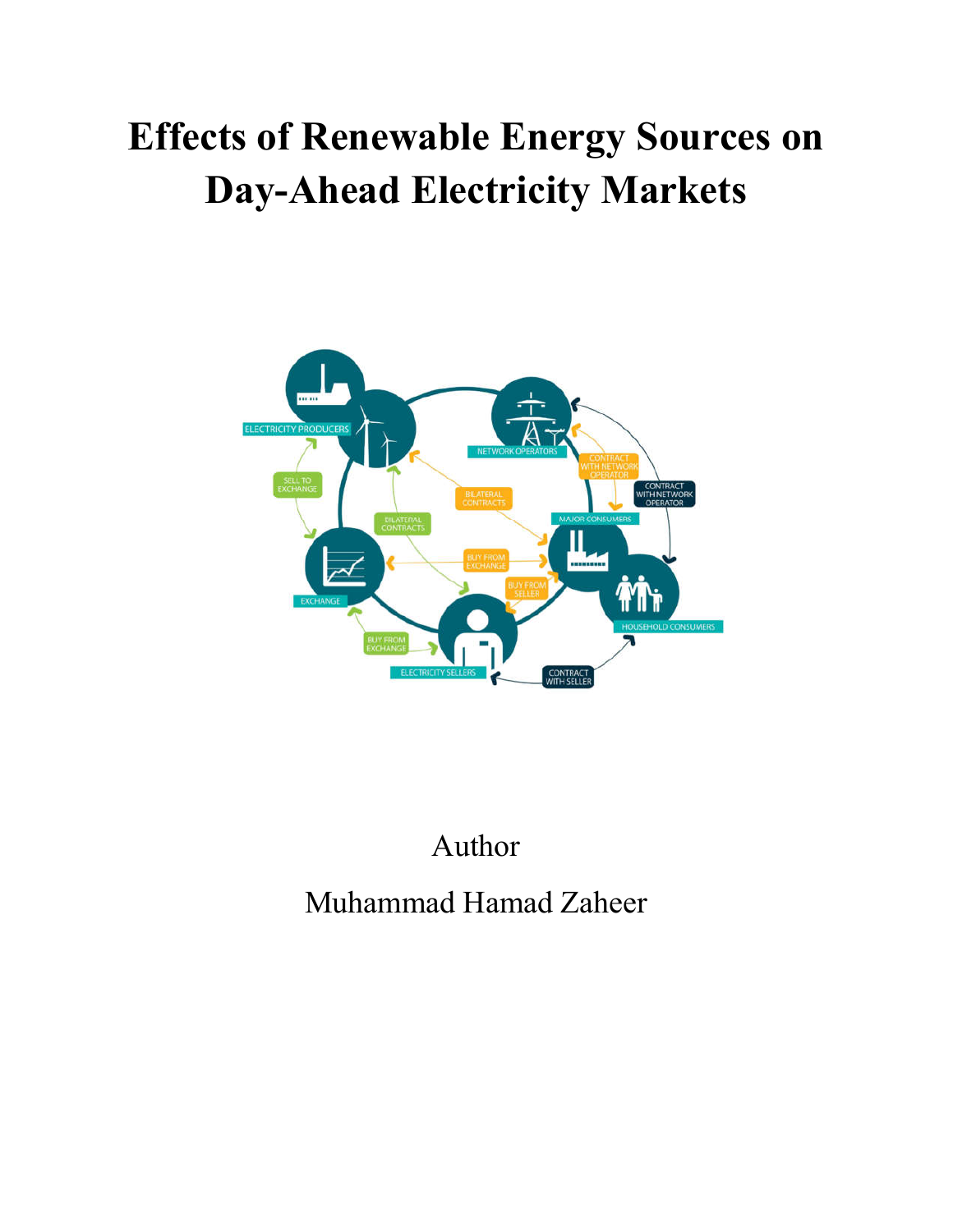# **Effects of Renewable Energy Sources on Day-Ahead Electricity Markets**



# Author Muhammad Hamad Zaheer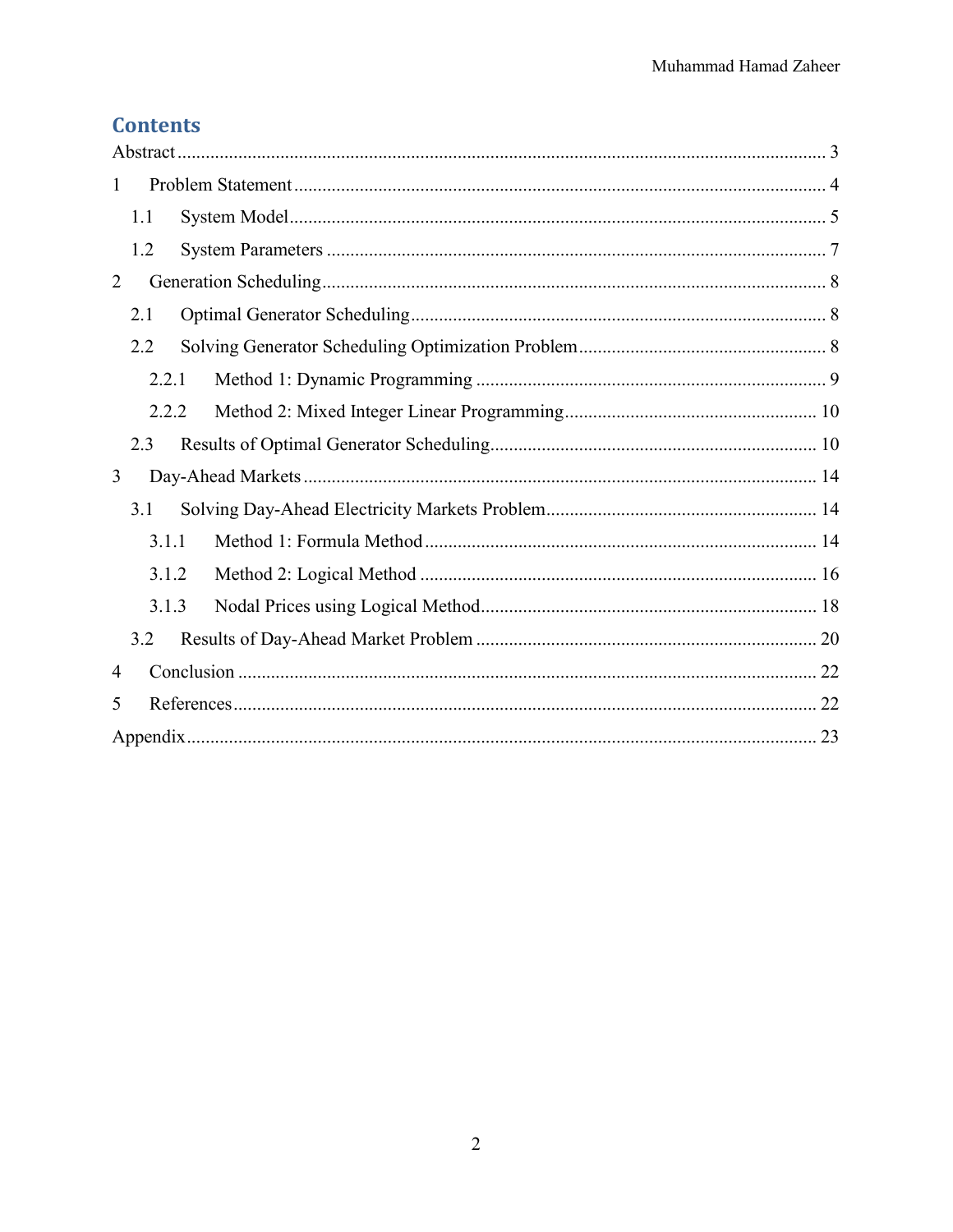### **Contents**

| 1 |     |       |  |  |  |  |  |
|---|-----|-------|--|--|--|--|--|
|   | 1.1 |       |  |  |  |  |  |
|   | 1.2 |       |  |  |  |  |  |
| 2 |     |       |  |  |  |  |  |
|   | 2.1 |       |  |  |  |  |  |
|   | 2.2 |       |  |  |  |  |  |
|   |     | 2.2.1 |  |  |  |  |  |
|   |     | 2.2.2 |  |  |  |  |  |
|   | 2.3 |       |  |  |  |  |  |
| 3 |     |       |  |  |  |  |  |
|   | 3.1 |       |  |  |  |  |  |
|   |     | 3.1.1 |  |  |  |  |  |
|   |     | 3.1.2 |  |  |  |  |  |
|   |     | 3.1.3 |  |  |  |  |  |
|   | 3.2 |       |  |  |  |  |  |
| 4 |     |       |  |  |  |  |  |
| 5 |     |       |  |  |  |  |  |
|   |     |       |  |  |  |  |  |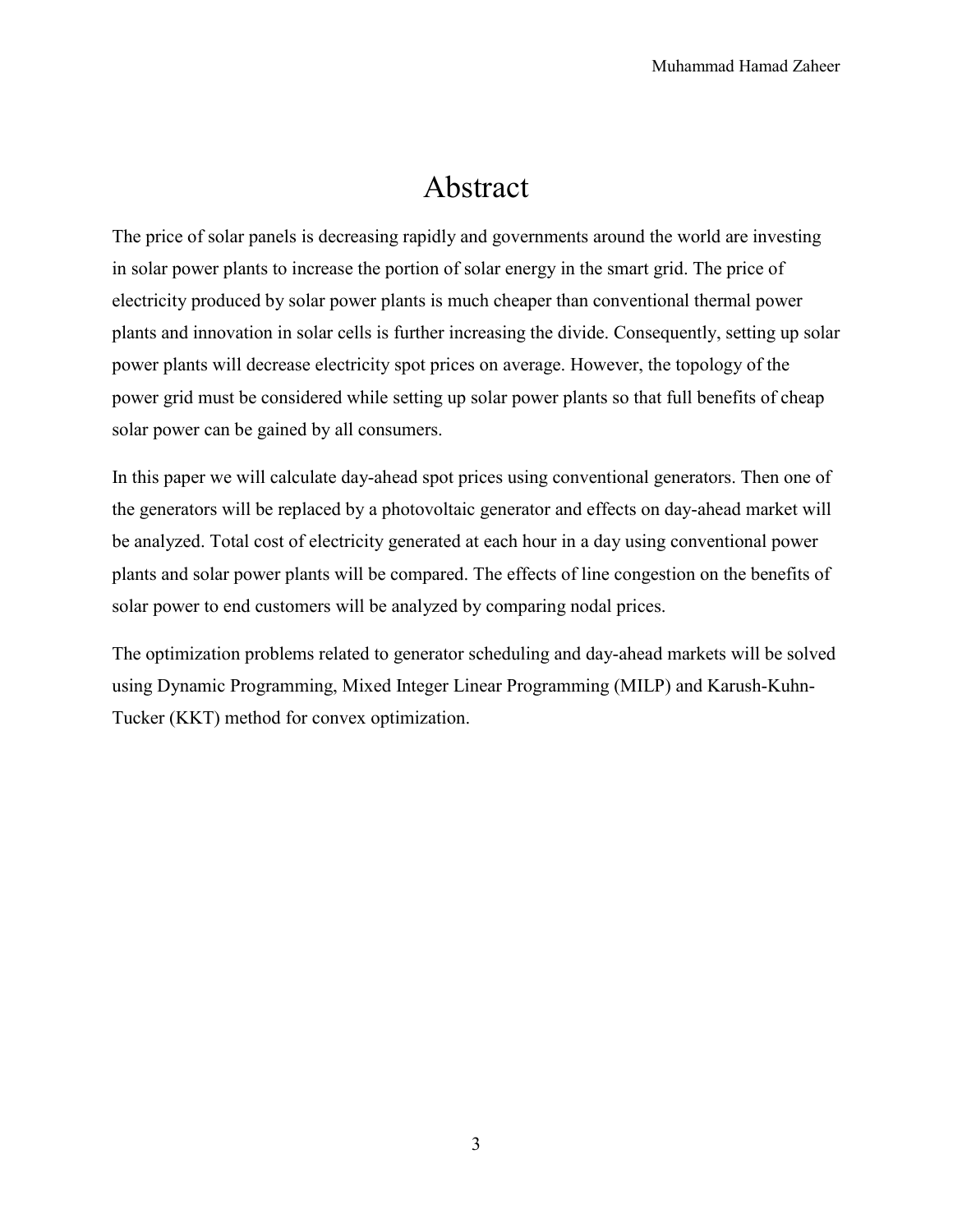### Abstract

The price of solar panels is decreasing rapidly and governments around the world are investing in solar power plants to increase the portion of solar energy in the smart grid. The price of electricity produced by solar power plants is much cheaper than conventional thermal power plants and innovation in solar cells is further increasing the divide. Consequently, setting up solar power plants will decrease electricity spot prices on average. However, the topology of the power grid must be considered while setting up solar power plants so that full benefits of cheap solar power can be gained by all consumers.

In this paper we will calculate day-ahead spot prices using conventional generators. Then one of the generators will be replaced by a photovoltaic generator and effects on day-ahead market will be analyzed. Total cost of electricity generated at each hour in a day using conventional power plants and solar power plants will be compared. The effects of line congestion on the benefits of solar power to end customers will be analyzed by comparing nodal prices.

The optimization problems related to generator scheduling and day-ahead markets will be solved using Dynamic Programming, Mixed Integer Linear Programming (MILP) and Karush-Kuhn-Tucker (KKT) method for convex optimization.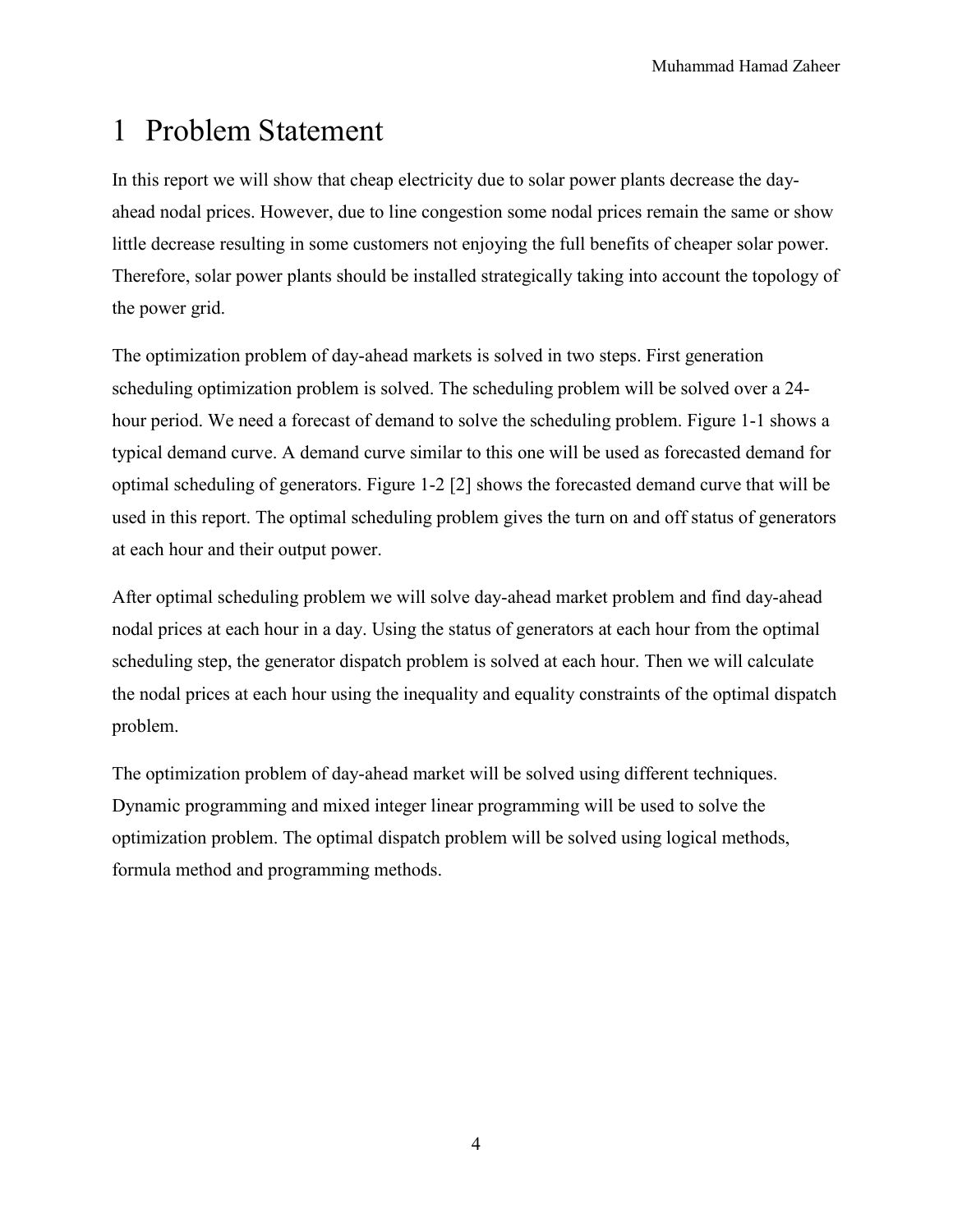### 1 Problem Statement

In this report we will show that cheap electricity due to solar power plants decrease the dayahead nodal prices. However, due to line congestion some nodal prices remain the same or show little decrease resulting in some customers not enjoying the full benefits of cheaper solar power. Therefore, solar power plants should be installed strategically taking into account the topology of the power grid.

The optimization problem of day-ahead markets is solved in two steps. First generation scheduling optimization problem is solved. The scheduling problem will be solved over a 24 hour period. We need a forecast of demand to solve the scheduling problem. Figure 1-1 shows a typical demand curve. A demand curve similar to this one will be used as forecasted demand for optimal scheduling of generators. Figure 1-2 [2] shows the forecasted demand curve that will be used in this report. The optimal scheduling problem gives the turn on and off status of generators at each hour and their output power.

After optimal scheduling problem we will solve day-ahead market problem and find day-ahead nodal prices at each hour in a day. Using the status of generators at each hour from the optimal scheduling step, the generator dispatch problem is solved at each hour. Then we will calculate the nodal prices at each hour using the inequality and equality constraints of the optimal dispatch problem.

The optimization problem of day-ahead market will be solved using different techniques. Dynamic programming and mixed integer linear programming will be used to solve the optimization problem. The optimal dispatch problem will be solved using logical methods, formula method and programming methods.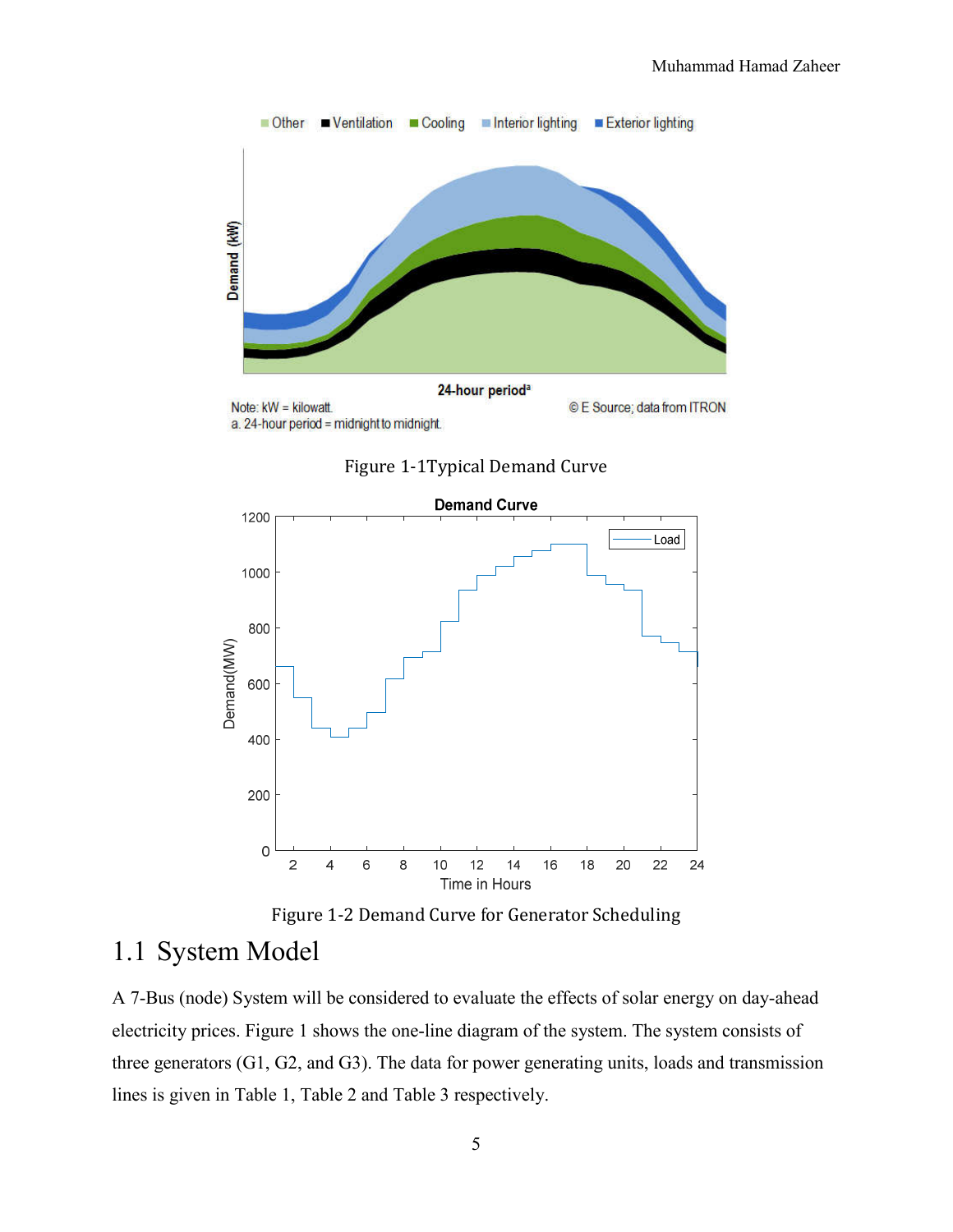

Figure 1-1Typical Demand Curve





#### 1.1 System Model

A 7-Bus (node) System will be considered to evaluate the effects of solar energy on day-ahead electricity prices. Figure 1 shows the one-line diagram of the system. The system consists of three generators (G1, G2, and G3). The data for power generating units, loads and transmission lines is given in Table 1, Table 2 and Table 3 respectively.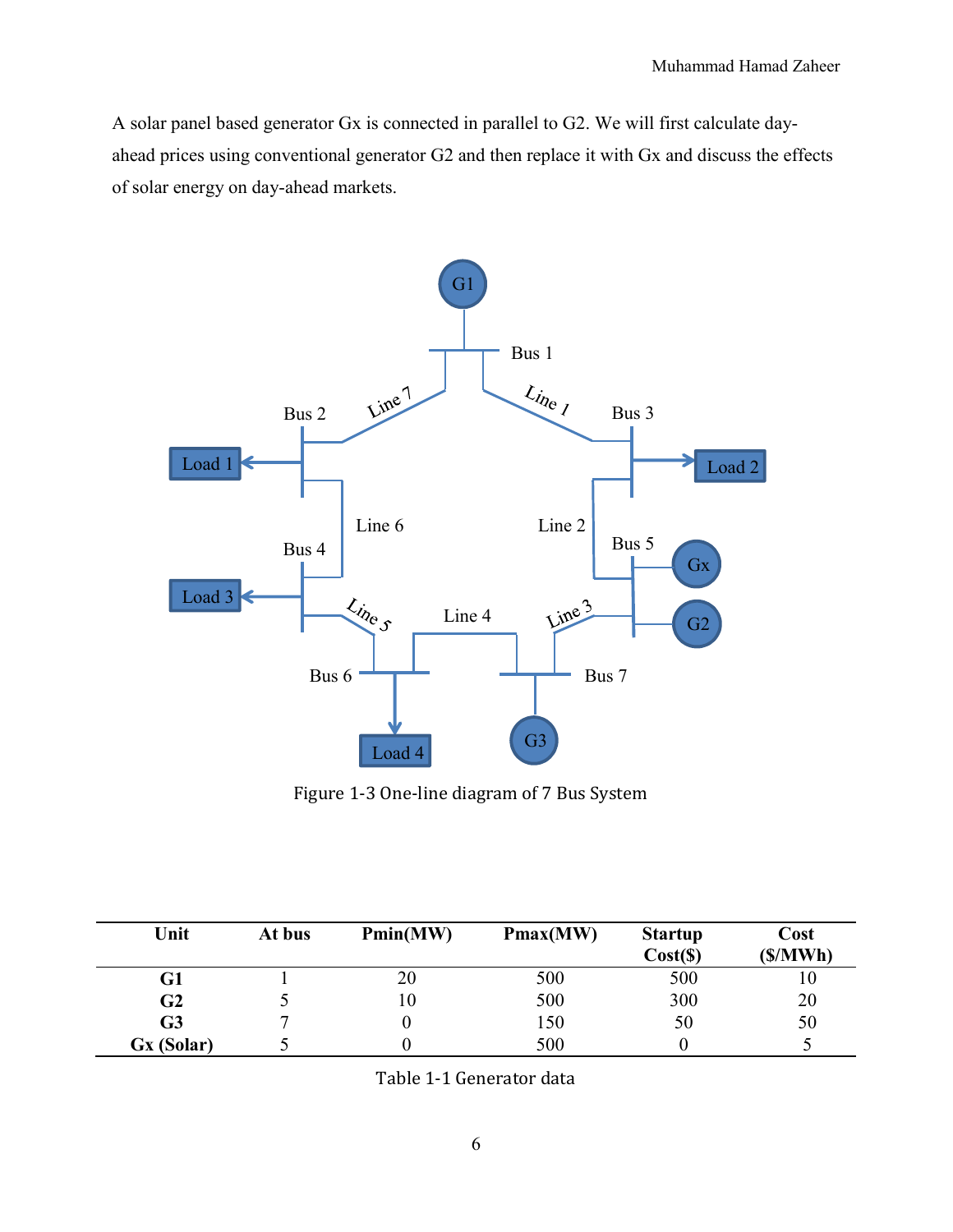A solar panel based generator Gx is connected in parallel to G2. We will first calculate dayahead prices using conventional generator G2 and then replace it with Gx and discuss the effects of solar energy on day-ahead markets.



Figure 1-3 One-line diagram of 7 Bus System

| Unit           | At bus | Pmin(MW) | Pmax(MW) | <b>Startup</b><br>Cost( <b>S</b> ) | Cost<br>(S/MWh) |
|----------------|--------|----------|----------|------------------------------------|-----------------|
| G1             |        | 20       | 500      | 500                                | ΙU              |
| G2             |        | 10       | 500      | 300                                | 20              |
| G <sub>3</sub> |        |          | 150      | 50                                 | 50              |
| Gx (Solar)     |        |          | 500      |                                    |                 |

Table 1-1 Generator data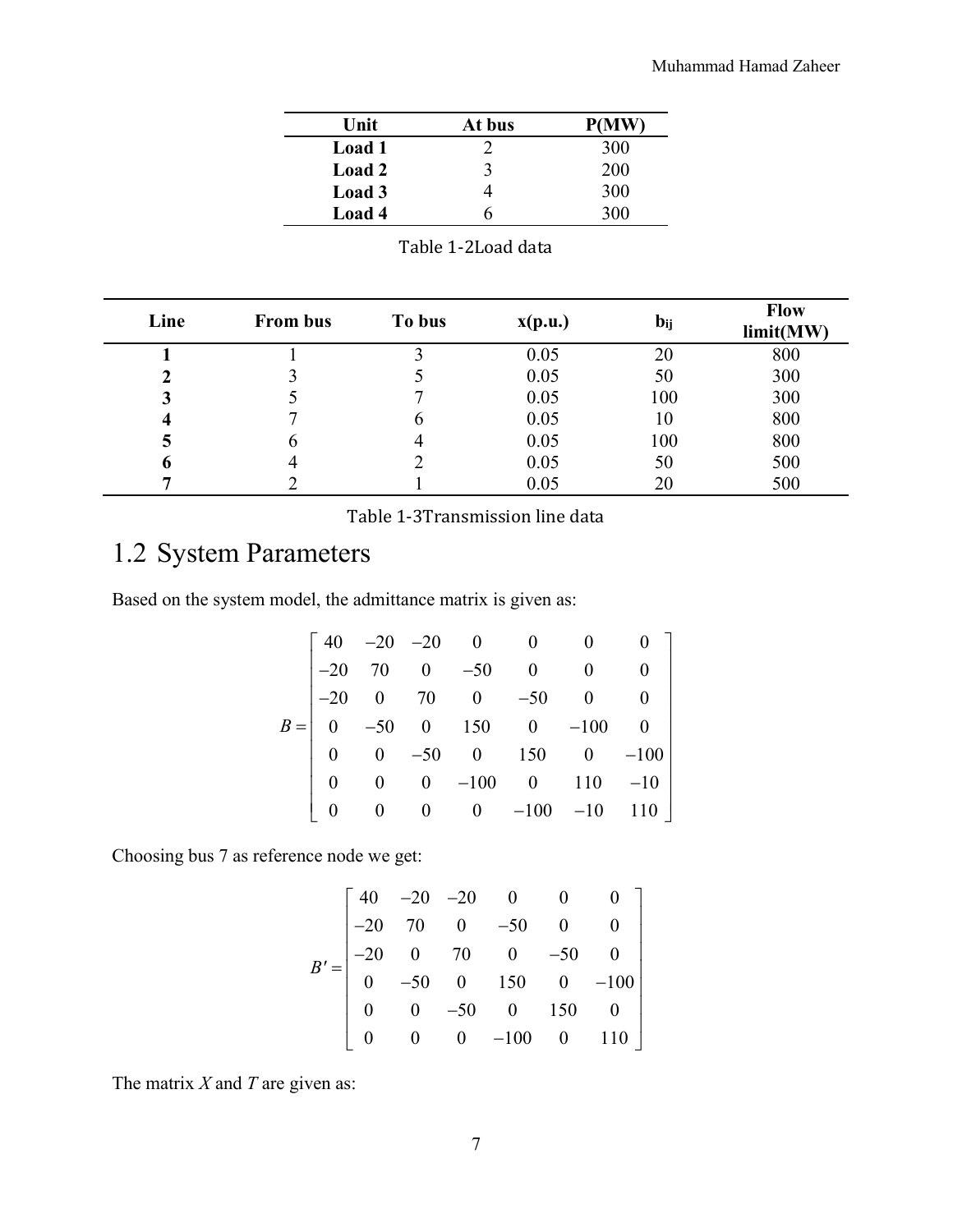| Unit   | At bus | <b>P(MW)</b> |
|--------|--------|--------------|
| Load 1 |        | 300          |
| Load 2 | 3      | 200          |
| Load 3 |        | 300          |
| Load 4 | h      | 300          |

Table 1-2Load data

| Line | <b>From bus</b> | To bus | $\mathbf{x}(\mathbf{p}.\mathbf{u})$ | $b_{ij}$ | <b>Flow</b><br>limit(MW) |
|------|-----------------|--------|-------------------------------------|----------|--------------------------|
|      |                 |        | 0.05                                | 20       | 800                      |
| 2    |                 |        | 0.05                                | 50       | 300                      |
| 3    |                 |        | 0.05                                | 100      | 300                      |
| 4    |                 | n      | 0.05                                | 10       | 800                      |
| 5    | h               |        | 0.05                                | 100      | 800                      |
| o    |                 |        | 0.05                                | 50       | 500                      |
| 7    |                 |        | 0.05                                | 20       | 500                      |

Table 1-3Transmission line data

### 1.2 System Parameters

Based on the system model, the admittance matrix is given as:

|  |  | $B = \begin{bmatrix} 40 & -20 & -20 & 0 & 0 & 0 & 0 \\ -20 & 70 & 0 & -50 & 0 & 0 & 0 \\ -20 & 0 & 70 & 0 & -50 & 0 & 0 \\ 0 & -50 & 0 & 150 & 0 & -100 & 0 \\ 0 & 0 & -50 & 0 & 150 & 0 & -100 \\ 0 & 0 & 0 & -100 & 0 & 110 & -10 \end{bmatrix}$ |  |
|--|--|----------------------------------------------------------------------------------------------------------------------------------------------------------------------------------------------------------------------------------------------------|--|
|  |  |                                                                                                                                                                                                                                                    |  |
|  |  |                                                                                                                                                                                                                                                    |  |
|  |  |                                                                                                                                                                                                                                                    |  |
|  |  | 0 0 0 $-100$ $-10$ $110$                                                                                                                                                                                                                           |  |

Choosing bus 7 as reference node we get:

$$
B' = \begin{bmatrix} 40 & -20 & -20 & 0 & 0 & 0 \\ -20 & 70 & 0 & -50 & 0 & 0 \\ -20 & 0 & 70 & 0 & -50 & 0 \\ 0 & -50 & 0 & 150 & 0 & -100 \\ 0 & 0 & -50 & 0 & 150 & 0 \\ 0 & 0 & 0 & -100 & 0 & 110 \end{bmatrix}
$$

The matrix *X* and *T* are given as: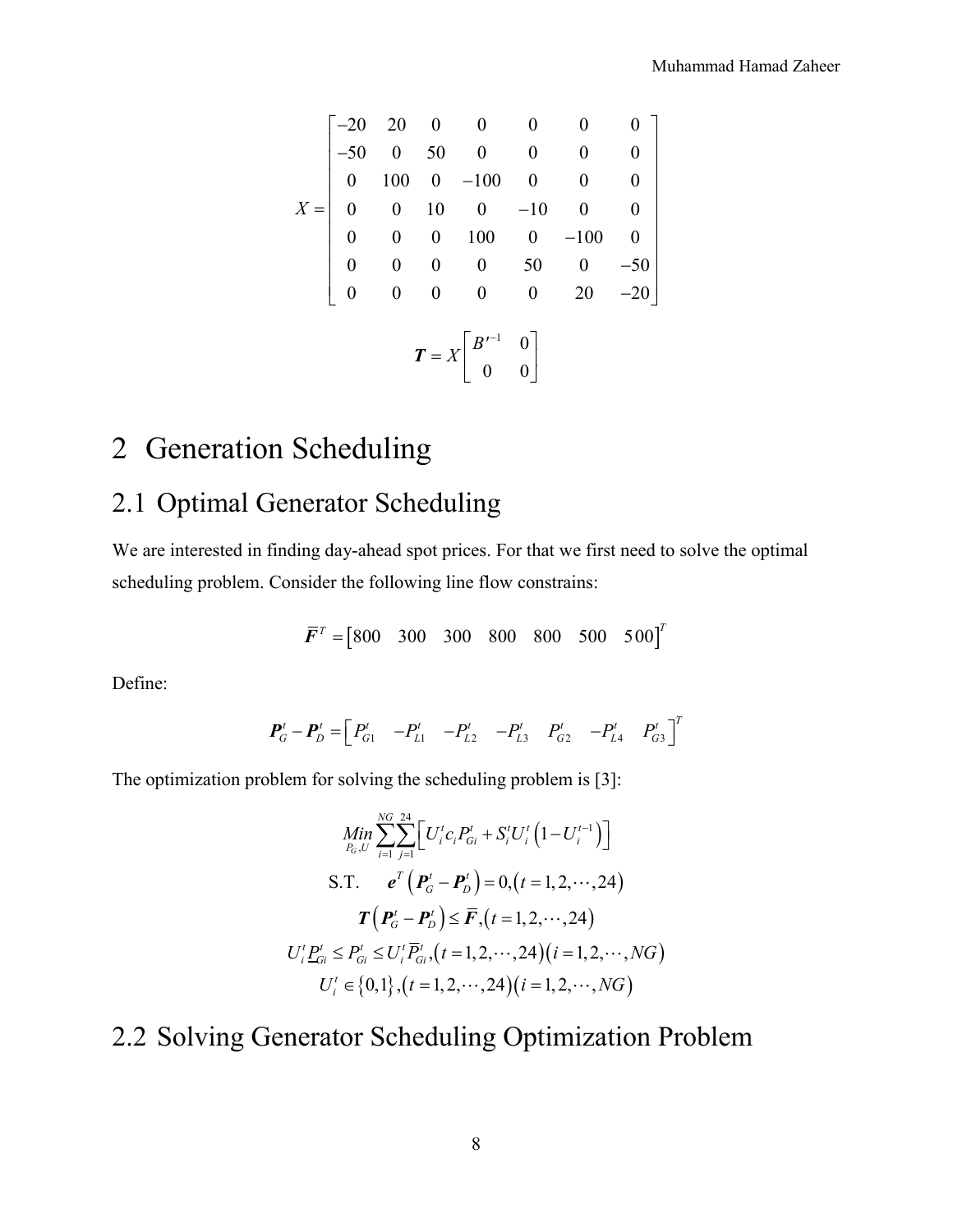$$
X = \begin{bmatrix}\n-20 & 20 & 0 & 0 & 0 & 0 & 0 \\
-50 & 0 & 50 & 0 & 0 & 0 & 0 \\
0 & 100 & 0 & -100 & 0 & 0 & 0 \\
0 & 0 & 10 & 0 & -10 & 0 & 0 \\
0 & 0 & 0 & 100 & 0 & -100 & 0 \\
0 & 0 & 0 & 0 & 50 & 0 & -50 \\
0 & 0 & 0 & 0 & 0 & 20 & -20\n\end{bmatrix}
$$
\n
$$
T = X \begin{bmatrix} B'^{-1} & 0 \\ 0 & 0 \end{bmatrix}
$$

## 2 Generation Scheduling

### 2.1 Optimal Generator Scheduling

We are interested in finding day-ahead spot prices. For that we first need to solve the optimal scheduling problem. Consider the following line flow constrains:

$$
\boldsymbol{\bar{F}}^T = \begin{bmatrix} 800 & 300 & 300 & 800 & 800 & 500 & 500 \end{bmatrix}^T
$$

Define:

$$
\boldsymbol{P}_G^t - \boldsymbol{P}_D^t = \begin{bmatrix} P_{G1}^t & -P_{L1}^t & -P_{L2}^t & -P_{L3}^t & P_{G2}^t & -P_{L4}^t & P_{G3}^t \end{bmatrix}^T
$$

The optimization problem for solving the scheduling problem is [3]:

$$
\underset{P_G, U}{Min} \sum_{i=1}^{NG} \sum_{j=1}^{24} \left[ U_i^t c_i P_{Gi}^t + S_i^t U_i^t \left( 1 - U_i^{t-1} \right) \right]
$$
\n
$$
\text{S.T.} \qquad \boldsymbol{e}^T \left( \boldsymbol{P}_G^t - \boldsymbol{P}_D^t \right) = 0, \left( t = 1, 2, \cdots, 24 \right)
$$
\n
$$
\boldsymbol{T} \left( \boldsymbol{P}_G^t - \boldsymbol{P}_D^t \right) \le \boldsymbol{\bar{F}}, \left( t = 1, 2, \cdots, 24 \right)
$$
\n
$$
U_i^t \underline{P}_{Gi}^t \le P_{Gi}^t \le U_i^t \overline{P}_{Gi}^t, \left( t = 1, 2, \cdots, 24 \right) \left( i = 1, 2, \cdots, NG \right)
$$
\n
$$
U_i^t \in \{0, 1\}, \left( t = 1, 2, \cdots, 24 \right) \left( i = 1, 2, \cdots, NG \right)
$$

### 2.2 Solving Generator Scheduling Optimization Problem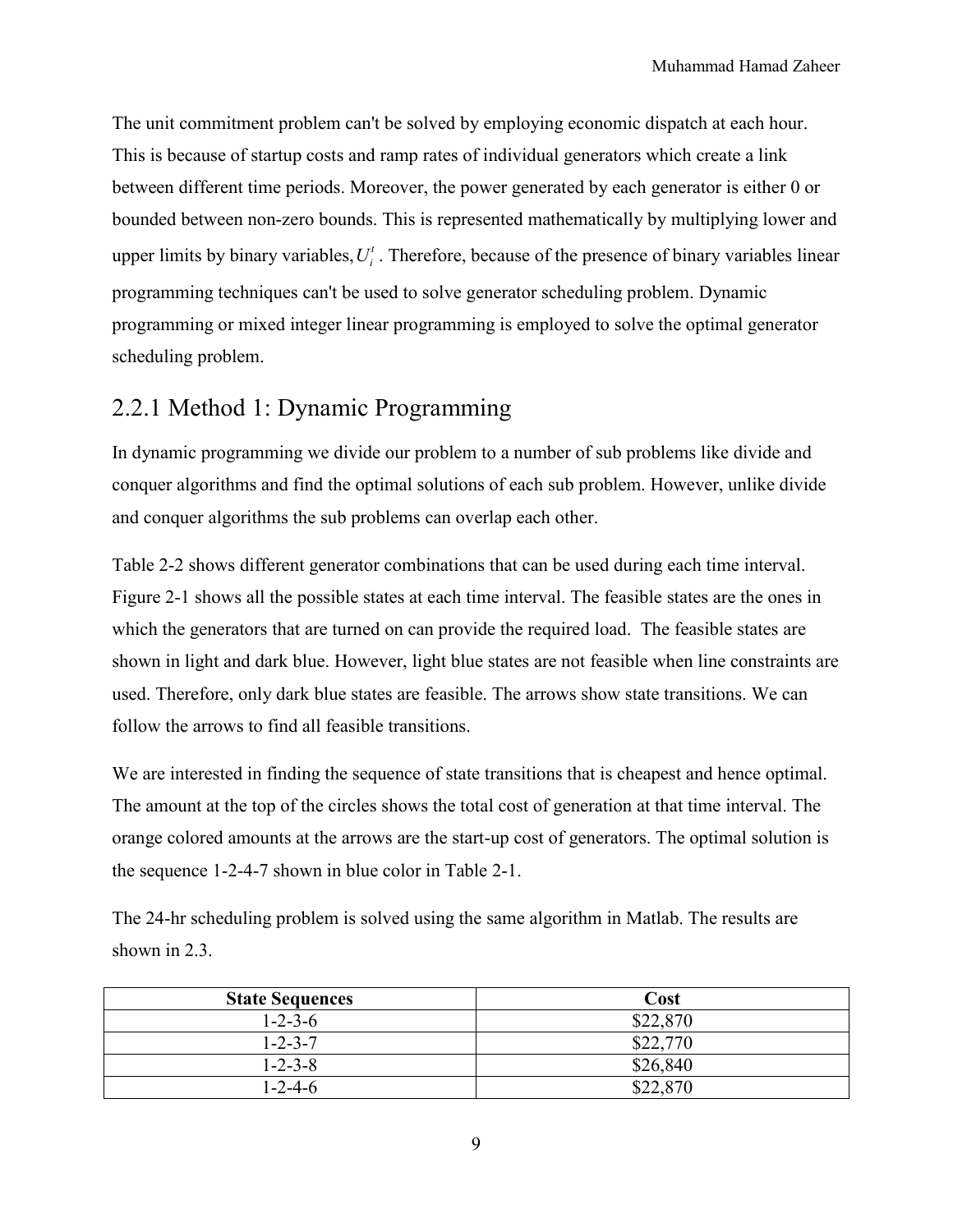The unit commitment problem can't be solved by employing economic dispatch at each hour. This is because of startup costs and ramp rates of individual generators which create a link between different time periods. Moreover, the power generated by each generator is either 0 or bounded between non-zero bounds. This is represented mathematically by multiplying lower and upper limits by binary variables,  $U_i^t$ . Therefore, because of the presence of binary variables linear programming techniques can't be used to solve generator scheduling problem. Dynamic programming or mixed integer linear programming is employed to solve the optimal generator scheduling problem.

#### 2.2.1 Method 1: Dynamic Programming

In dynamic programming we divide our problem to a number of sub problems like divide and conquer algorithms and find the optimal solutions of each sub problem. However, unlike divide and conquer algorithms the sub problems can overlap each other.

Table 2-2 shows different generator combinations that can be used during each time interval. Figure 2-1 shows all the possible states at each time interval. The feasible states are the ones in which the generators that are turned on can provide the required load. The feasible states are shown in light and dark blue. However, light blue states are not feasible when line constraints are used. Therefore, only dark blue states are feasible. The arrows show state transitions. We can follow the arrows to find all feasible transitions.

We are interested in finding the sequence of state transitions that is cheapest and hence optimal. The amount at the top of the circles shows the total cost of generation at that time interval. The orange colored amounts at the arrows are the start-up cost of generators. The optimal solution is the sequence 1-2-4-7 shown in blue color in Table 2-1.

The 24-hr scheduling problem is solved using the same algorithm in Matlab. The results are shown in 2.3.

| <b>State Sequences</b> | Cost     |
|------------------------|----------|
| $1 - 2 - 3 - 6$        | \$22,870 |
| $1 - 2 - 3 - 7$        | \$22,770 |
| $1 - 2 - 3 - 8$        | \$26,840 |
| $1 - 2 - 4 - 6$        | \$22,870 |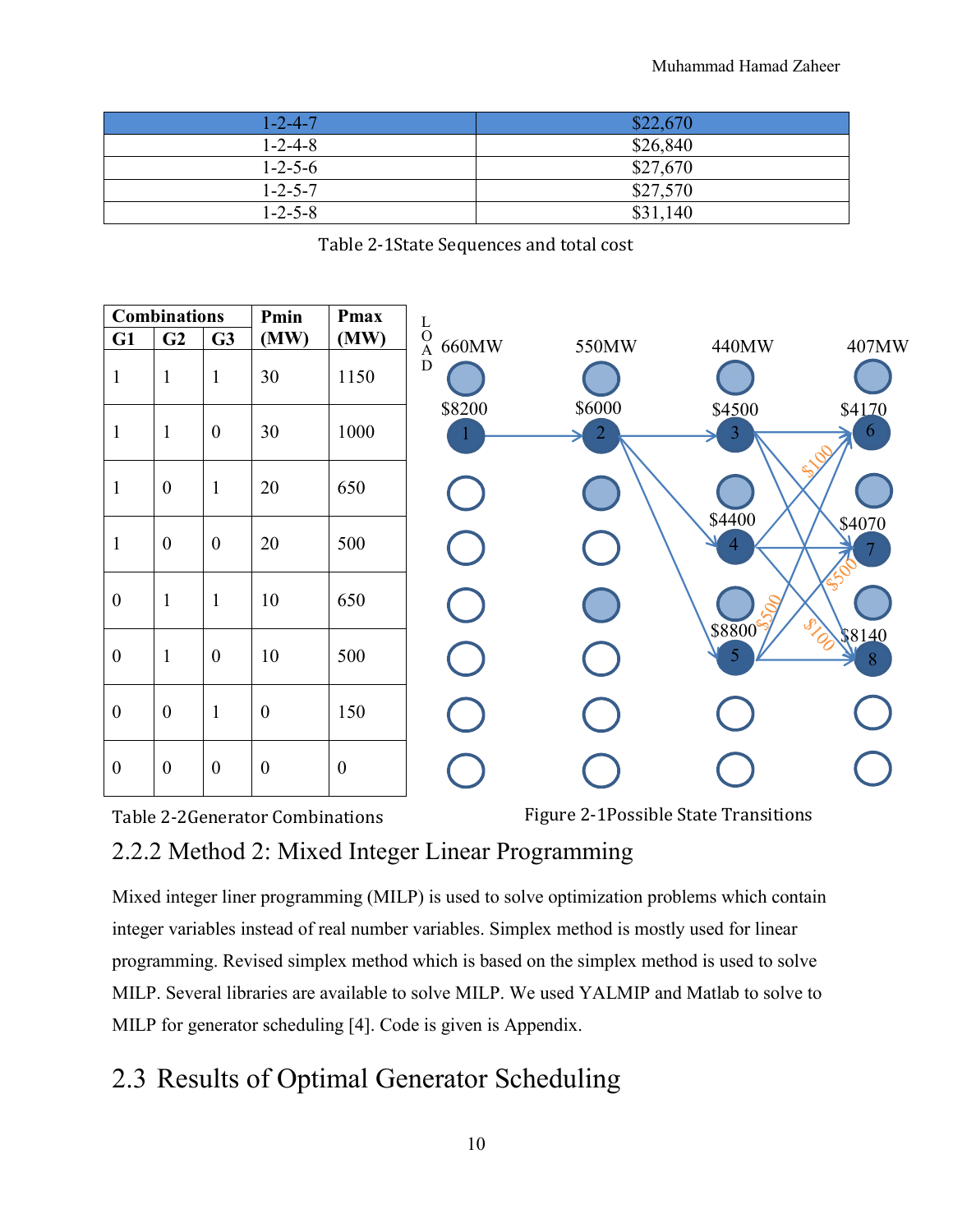| 1-2-4-7         | \$22,670 |
|-----------------|----------|
| $1 - 2 - 4 - 8$ | \$26,840 |
| $1 - 2 - 5 - 6$ | \$27,670 |
| $1 - 2 - 5 - 7$ | \$27,570 |
| $1 - 2 - 5 - 8$ | \$31,140 |

Table 2-1State Sequences and total cost

| <b>Combinations</b> |                  |                  | Pmin             | <b>Pmax</b>      |                                             |                          |                          |                         |
|---------------------|------------------|------------------|------------------|------------------|---------------------------------------------|--------------------------|--------------------------|-------------------------|
| G1                  | G <sub>2</sub>   | G3               | (MW)             | (MW)             | $_{\rm O}^{\rm L}$<br>660MW<br>$\mathbf{A}$ | 550MW                    | 440MW                    | 407MW                   |
| $\mathbf{1}$        | $\mathbf{1}$     | $\mathbf{1}$     | 30               | 1150             | D                                           |                          |                          |                         |
| $\mathbf{1}$        | $\mathbf{1}$     | $\boldsymbol{0}$ | 30               | 1000             | \$8200                                      | \$6000<br>$\overline{2}$ | \$4500<br>$\overline{3}$ | \$4170<br>$\mathfrak b$ |
| $\mathbf{1}$        | $\mathbf{0}$     | $\mathbf{1}$     | 20               | 650              |                                             |                          |                          |                         |
| $\mathbf{1}$        | $\boldsymbol{0}$ | $\boldsymbol{0}$ | 20               | 500              |                                             |                          | \$4400<br>$\overline{4}$ | \$4070                  |
| $\boldsymbol{0}$    | $\mathbf{1}$     | $\mathbf{1}$     | 10               | 650              |                                             |                          | \$8800 %                 | SIL                     |
| $\boldsymbol{0}$    | $\mathbf{1}$     | $\boldsymbol{0}$ | 10               | 500              |                                             |                          | 5                        | \$8140<br>8             |
| $\boldsymbol{0}$    | $\boldsymbol{0}$ | $\mathbf{1}$     | $\boldsymbol{0}$ | 150              |                                             |                          |                          |                         |
| $\boldsymbol{0}$    | $\overline{0}$   | $\overline{0}$   | $\boldsymbol{0}$ | $\boldsymbol{0}$ |                                             |                          |                          |                         |

Table 2-2Generator Combinations

Figure 2-1Possible State Transitions

### 2.2.2 Method 2: Mixed Integer Linear Programming

Mixed integer liner programming (MILP) is used to solve optimization problems which contain integer variables instead of real number variables. Simplex method is mostly used for linear programming. Revised simplex method which is based on the simplex method is used to solve MILP. Several libraries are available to solve MILP. We used YALMIP and Matlab to solve to MILP for generator scheduling [4]. Code is given is Appendix.

### 2.3 Results of Optimal Generator Scheduling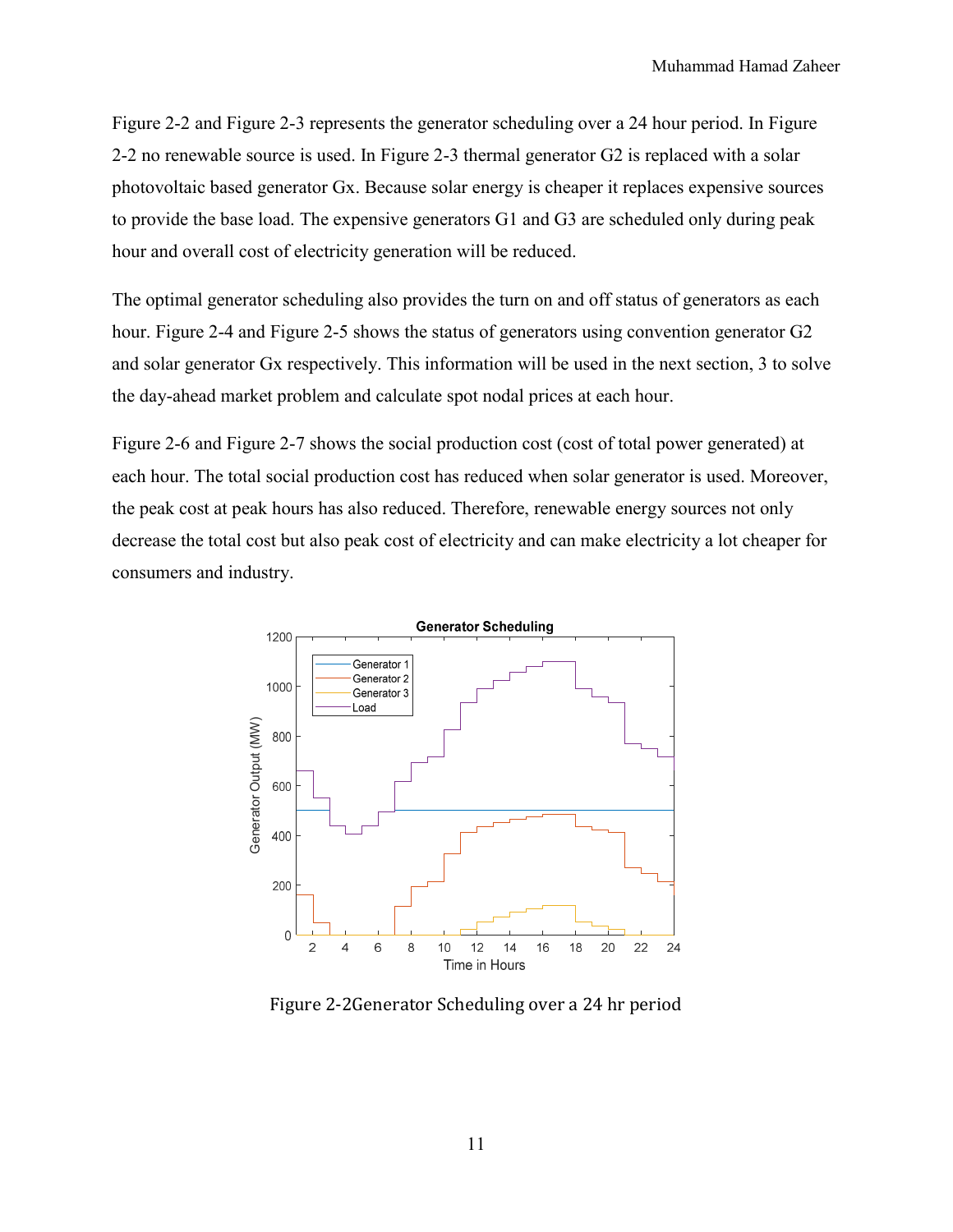Figure 2-2 and Figure 2-3 represents the generator scheduling over a 24 hour period. In Figure 2-2 no renewable source is used. In Figure 2-3 thermal generator G2 is replaced with a solar photovoltaic based generator Gx. Because solar energy is cheaper it replaces expensive sources to provide the base load. The expensive generators G1 and G3 are scheduled only during peak hour and overall cost of electricity generation will be reduced.

The optimal generator scheduling also provides the turn on and off status of generators as each hour. Figure 2-4 and Figure 2-5 shows the status of generators using convention generator G2 and solar generator Gx respectively. This information will be used in the next section, 3 to solve the day-ahead market problem and calculate spot nodal prices at each hour.

Figure 2-6 and Figure 2-7 shows the social production cost (cost of total power generated) at each hour. The total social production cost has reduced when solar generator is used. Moreover, the peak cost at peak hours has also reduced. Therefore, renewable energy sources not only decrease the total cost but also peak cost of electricity and can make electricity a lot cheaper for consumers and industry.



Figure 2-2Generator Scheduling over a 24 hr period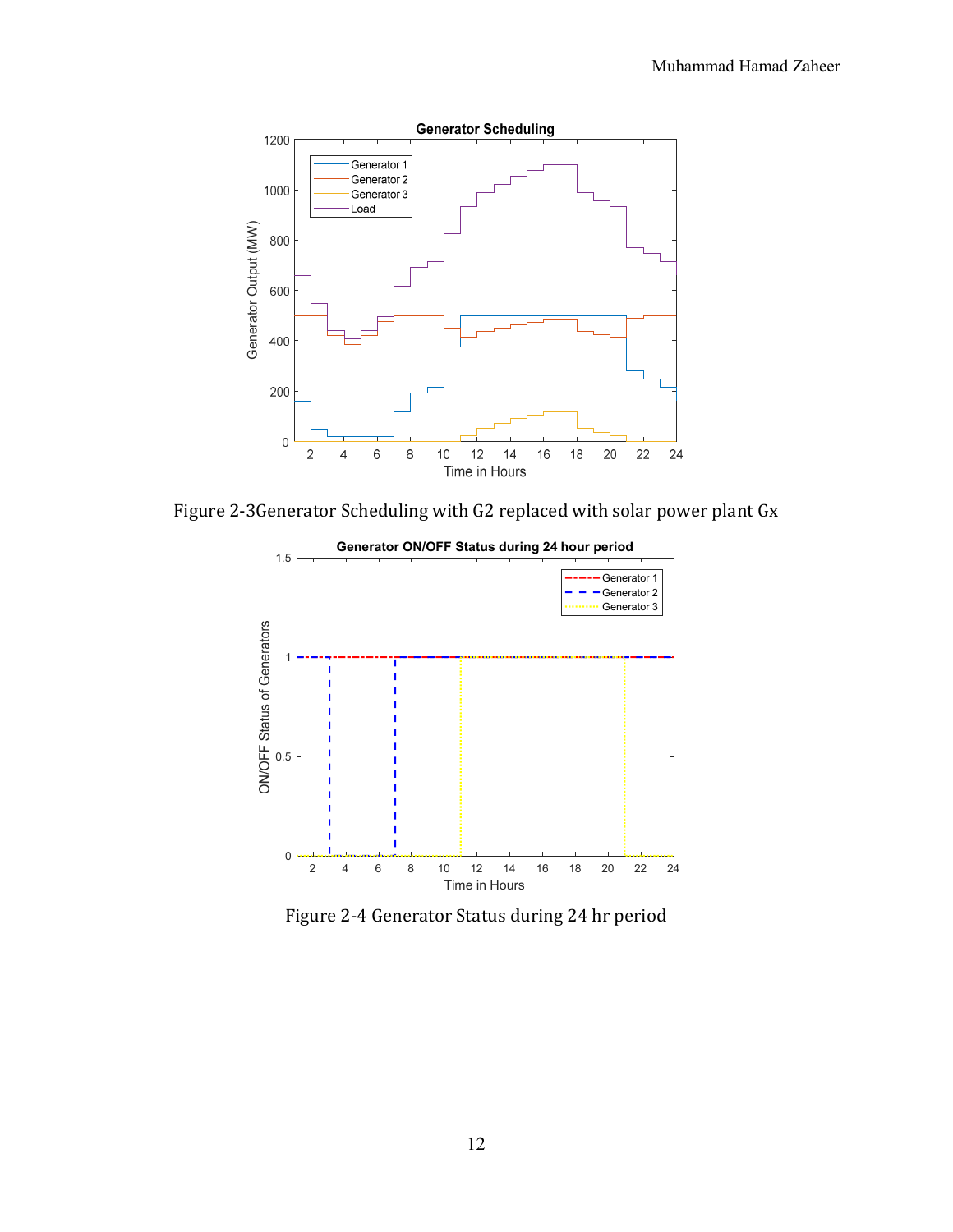

Figure 2-3Generator Scheduling with G2 replaced with solar power plant Gx



Figure 2-4 Generator Status during 24 hr period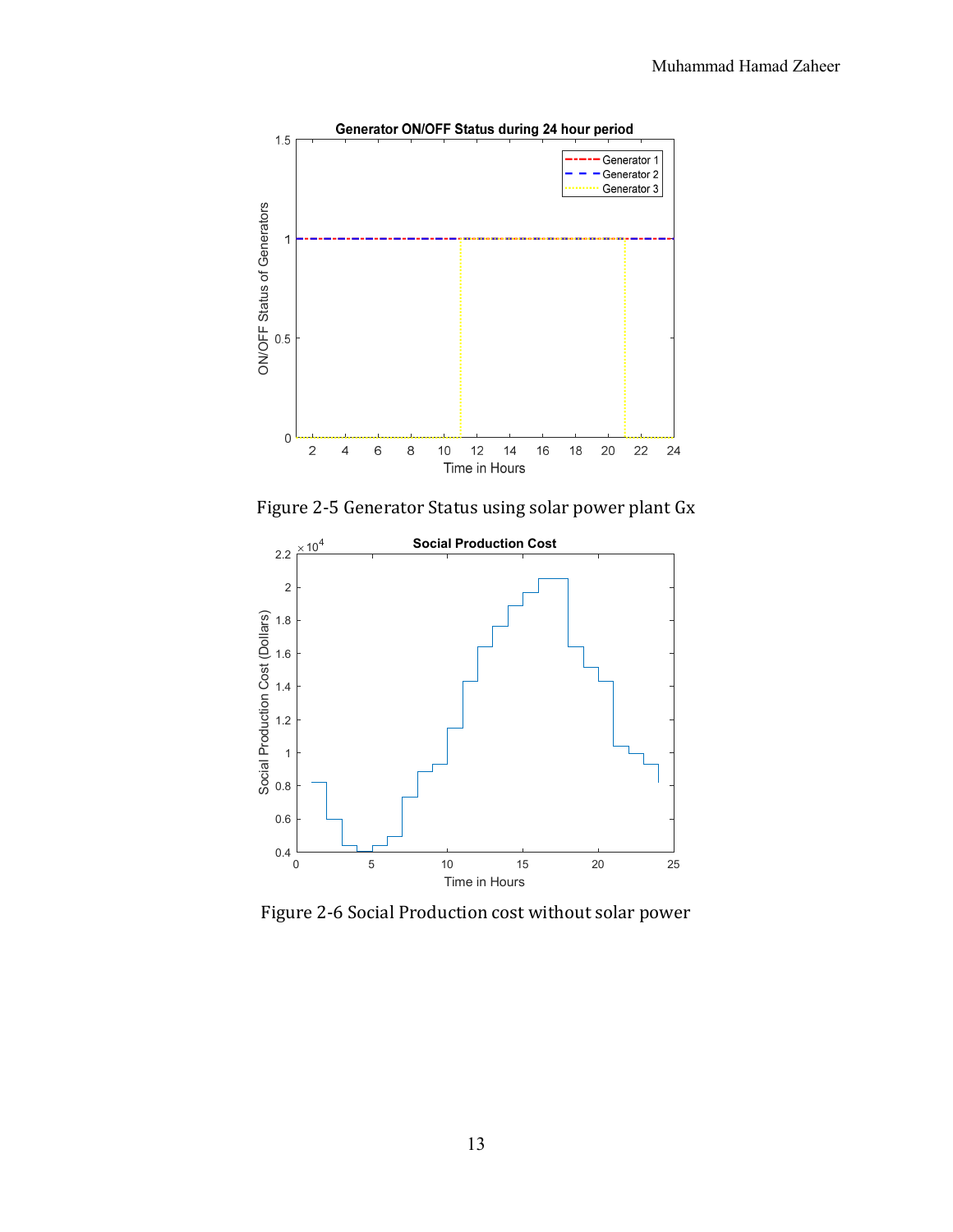

Figure 2-5 Generator Status using solar power plant Gx



Figure 2-6 Social Production cost without solar power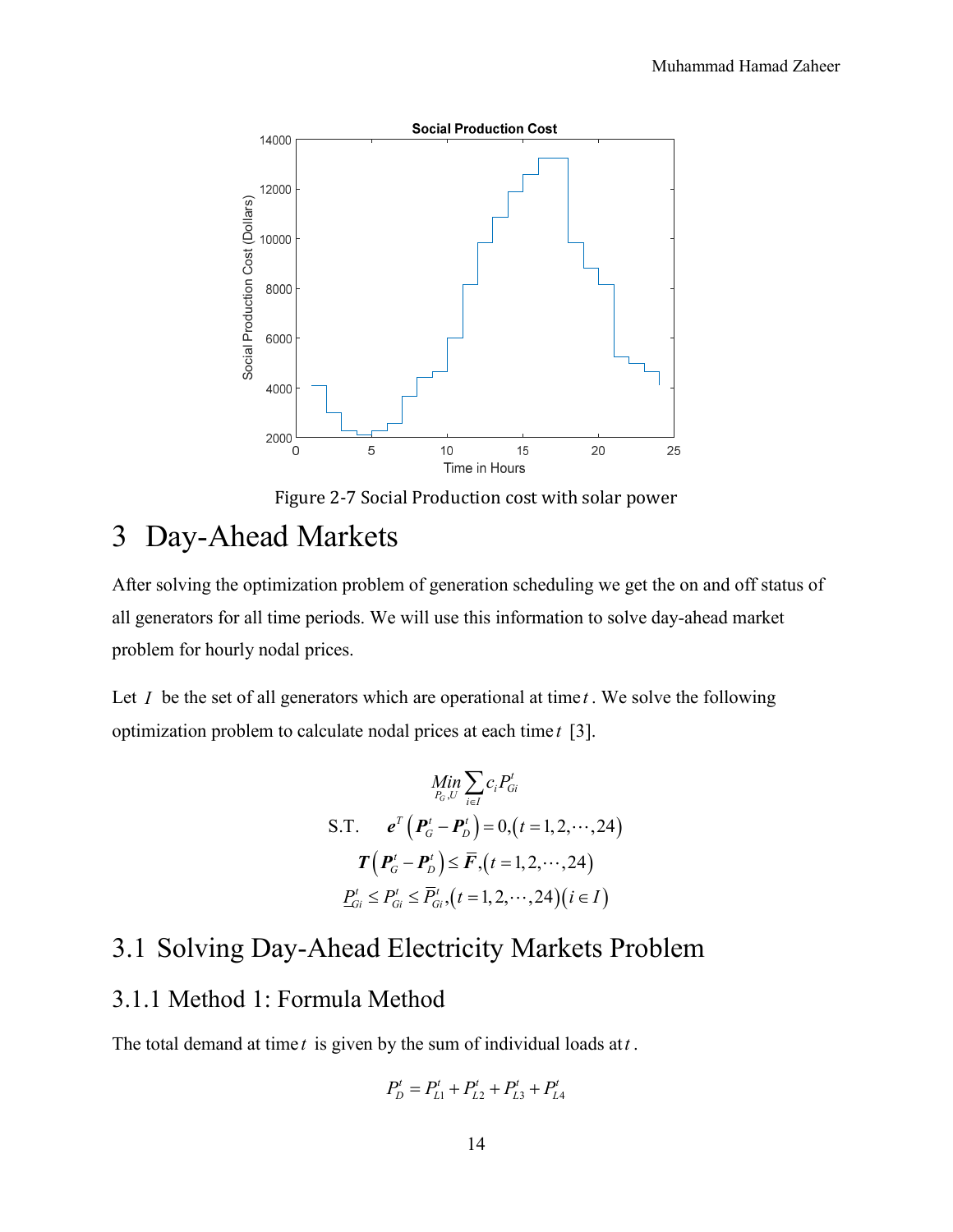

Figure 2-7 Social Production cost with solar power

## 3 Day-Ahead Markets

After solving the optimization problem of generation scheduling we get the on and off status of all generators for all time periods. We will use this information to solve day-ahead market problem for hourly nodal prices.

Let *I* be the set of all generators which are operational at time *t* . We solve the following optimization problem to calculate nodal prices at each time *t* [3].

$$
\begin{aligned}\n&\lim_{P_G, U} \sum_{i \in I} c_i P_{Gi}^t \\
&\text{S.T.} \quad e^T \left( P_G^t - P_D^t \right) = 0, (t = 1, 2, \cdots, 24) \\
&\quad T \left( P_G^t - P_D^t \right) \le \overline{F}, (t = 1, 2, \cdots, 24) \\
&\lim_{P_{Gi}^t \le P_{Gi}^t} \le \overline{P}_{Gi}^t, (t = 1, 2, \cdots, 24) (i \in I)\n\end{aligned}
$$

### 3.1 Solving Day-Ahead Electricity Markets Problem

#### 3.1.1 Method 1: Formula Method

The total demand at time *t* is given by the sum of individual loads at*t* .

$$
P_D^t = P_{L1}^t + P_{L2}^t + P_{L3}^t + P_{L4}^t
$$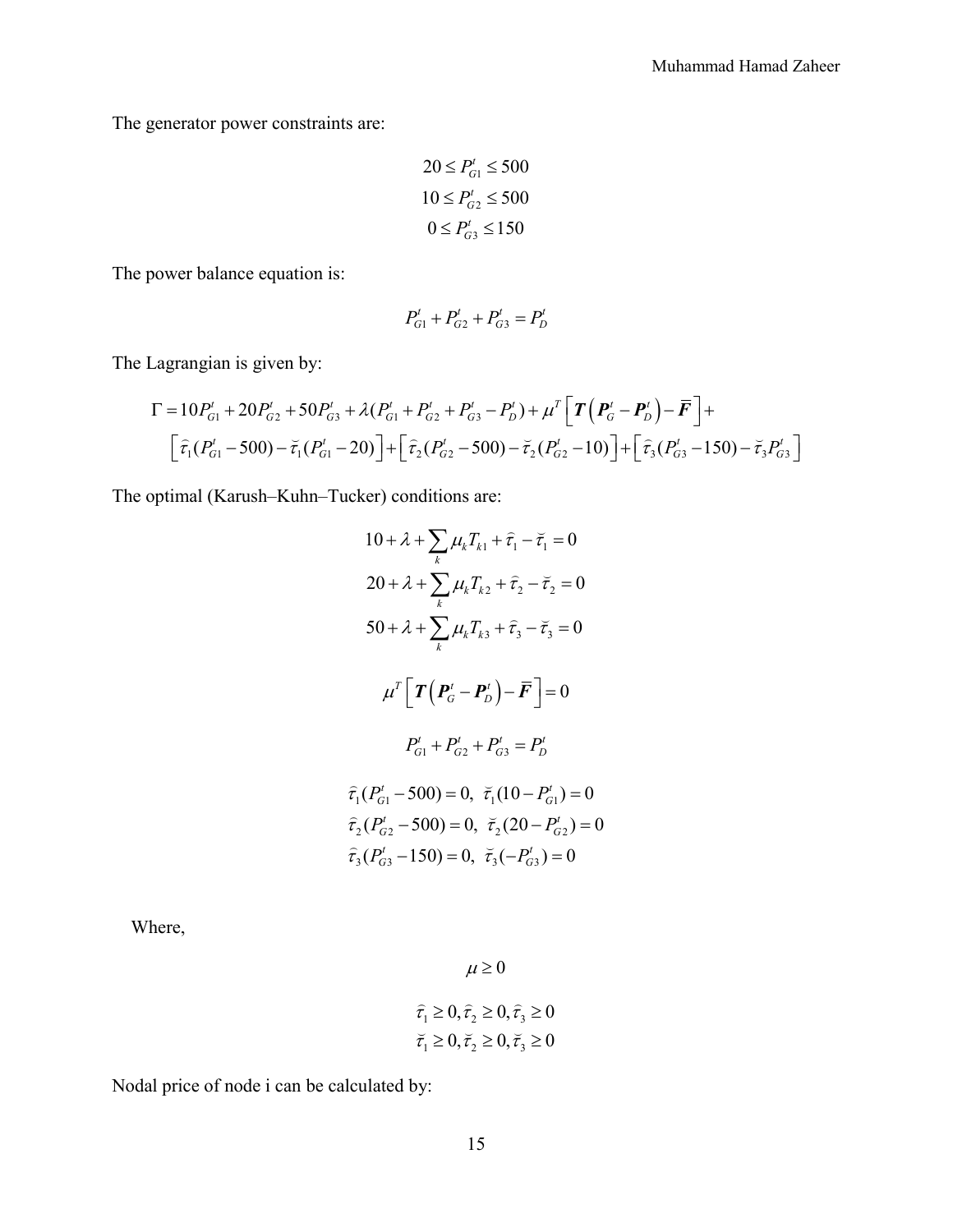The generator power constraints are:

$$
20 \le P_{G1}^t \le 500
$$

$$
10 \le P_{G2}^t \le 500
$$

$$
0 \le P_{G3}^t \le 150
$$

The power balance equation is:

$$
P_{G1}^t + P_{G2}^t + P_{G3}^t = P_D^t
$$

The Lagrangian is given by:

$$
\Gamma = 10P_{G1}^{t} + 20P_{G2}^{t} + 50P_{G3}^{t} + \lambda(P_{G1}^{t} + P_{G2}^{t} + P_{G3}^{t} - P_{D}^{t}) + \mu^{T} \left[ \boldsymbol{T} \left( \boldsymbol{P}_{G}^{t} - \boldsymbol{P}_{D}^{t} \right) - \boldsymbol{\bar{F}} \right] +
$$
\n
$$
\left[ \bar{\tau}_{1} (P_{G1}^{t} - 500) - \bar{\tau}_{1} (P_{G1}^{t} - 20) \right] + \left[ \bar{\tau}_{2} (P_{G2}^{t} - 500) - \bar{\tau}_{2} (P_{G2}^{t} - 10) \right] + \left[ \bar{\tau}_{3} (P_{G3}^{t} - 150) - \bar{\tau}_{3} P_{G3}^{t} \right]
$$

The optimal (Karush–Kuhn–Tucker) conditions are:

$$
10 + \lambda + \sum_{k} \mu_{k} T_{k1} + \hat{\tau}_{1} - \breve{\tau}_{1} = 0
$$
  
\n
$$
20 + \lambda + \sum_{k} \mu_{k} T_{k2} + \hat{\tau}_{2} - \breve{\tau}_{2} = 0
$$
  
\n
$$
50 + \lambda + \sum_{k} \mu_{k} T_{k3} + \hat{\tau}_{3} - \breve{\tau}_{3} = 0
$$
  
\n
$$
\mu^{T} \left[ \boldsymbol{T} \left( \boldsymbol{P}_{G}^{t} - \boldsymbol{P}_{D}^{t} \right) - \boldsymbol{F} \right] = 0
$$
  
\n
$$
P_{G1}^{t} + P_{G2}^{t} + P_{G3}^{t} = P_{D}^{t}
$$
  
\n
$$
\hat{\tau}_{1} (P_{G1}^{t} - 500) = 0, \ \breve{\tau}_{1} (10 - P_{G1}^{t}) = 0
$$
  
\n
$$
\hat{\tau}_{2} (P_{G2}^{t} - 500) = 0, \ \breve{\tau}_{2} (20 - P_{G2}^{t}) = 0
$$
  
\n
$$
\hat{\tau}_{3} (P_{G3}^{t} - 150) = 0, \ \breve{\tau}_{3} (-P_{G3}^{t}) = 0
$$

Where,

 $\mu \geq 0$ 

$$
\begin{aligned}\n\widehat{\tau}_1 &\ge 0, \widehat{\tau}_2 \ge 0, \widehat{\tau}_3 \ge 0 \\
\widehat{\tau}_1 &\ge 0, \widehat{\tau}_2 \ge 0, \widehat{\tau}_3 \ge 0\n\end{aligned}
$$

Nodal price of node i can be calculated by: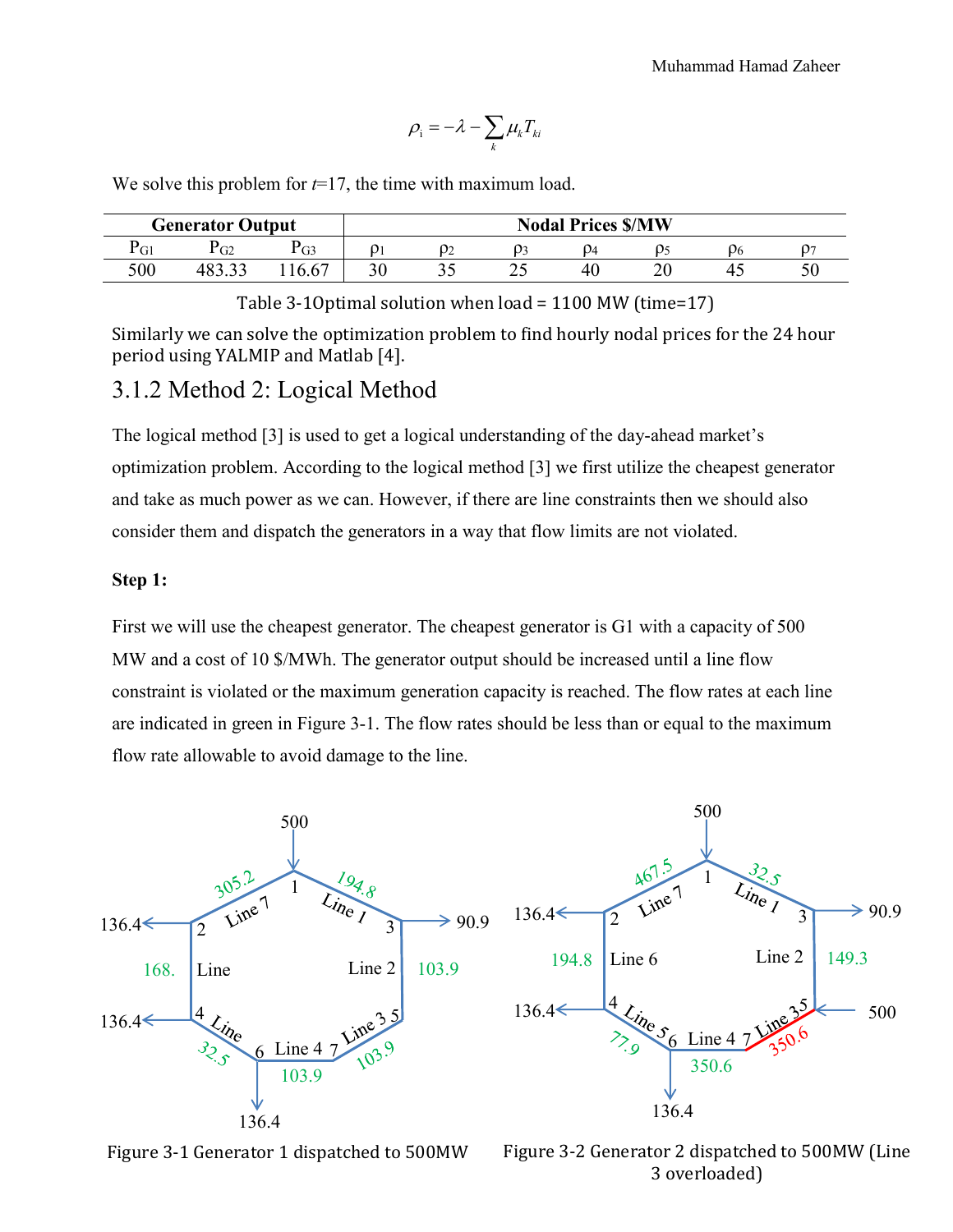$$
\rho_{\rm i} = -\lambda - \sum_{k} \mu_{k} T_{ki}
$$

We solve this problem for *t*=17, the time with maximum load.

|     | <b>Generator Output</b> |      |    |    |     | <b>Nodal Prices \$/MW</b> |    |   |
|-----|-------------------------|------|----|----|-----|---------------------------|----|---|
| ʻGl | $\sigma$ <sup>2</sup>   | PG3  |    |    |     |                           | ر. |   |
| 500 | 10J.JJ                  | 0.67 | υU | ັັ | ر ب | 40                        |    | ◡ |

Table 3-1Optimal solution when load = 1100 MW (time=17)

Similarly we can solve the optimization problem to find hourly nodal prices for the 24 hour period using YALMIP and Matlab [4].

#### 3.1.2 Method 2: Logical Method

The logical method [3] is used to get a logical understanding of the day-ahead market's optimization problem. According to the logical method [3] we first utilize the cheapest generator and take as much power as we can. However, if there are line constraints then we should also consider them and dispatch the generators in a way that flow limits are not violated.

#### **Step 1:**

First we will use the cheapest generator. The cheapest generator is G1 with a capacity of 500 MW and a cost of 10 \$/MWh. The generator output should be increased until a line flow constraint is violated or the maximum generation capacity is reached. The flow rates at each line are indicated in green in Figure 3-1. The flow rates should be less than or equal to the maximum flow rate allowable to avoid damage to the line.





Figure 3-2 Generator 2 dispatched to 500MW (Line 3 overloaded)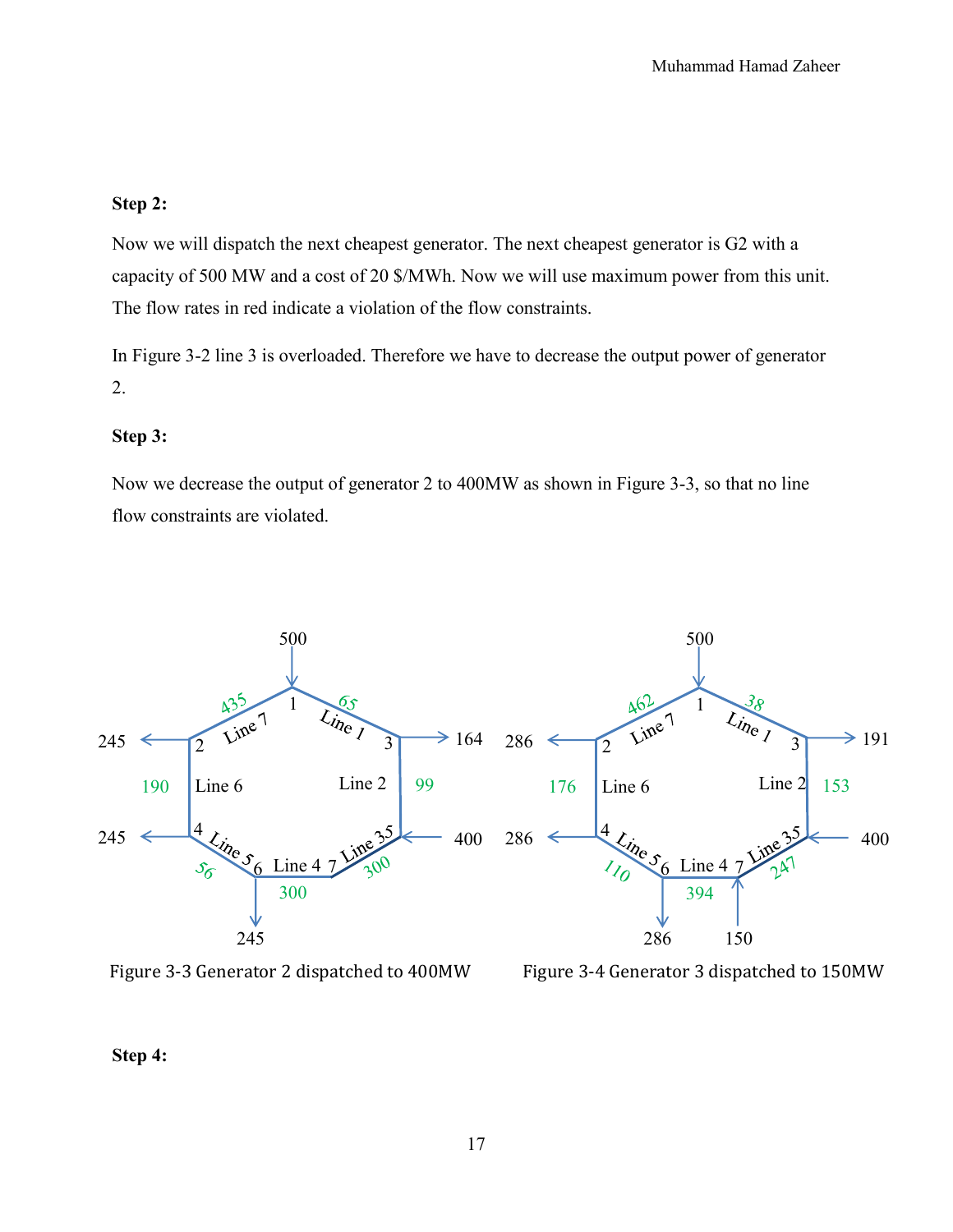#### **Step 2:**

Now we will dispatch the next cheapest generator. The next cheapest generator is G2 with a capacity of 500 MW and a cost of 20 \$/MWh. Now we will use maximum power from this unit. The flow rates in red indicate a violation of the flow constraints.

In Figure 3-2 line 3 is overloaded. Therefore we have to decrease the output power of generator 2.

#### **Step 3:**

Now we decrease the output of generator 2 to 400MW as shown in Figure 3-3, so that no line flow constraints are violated.



Figure 3-3 Generator 2 dispatched to 400MW Figure 3-4 Generator 3 dispatched to 150MW

**Step 4:**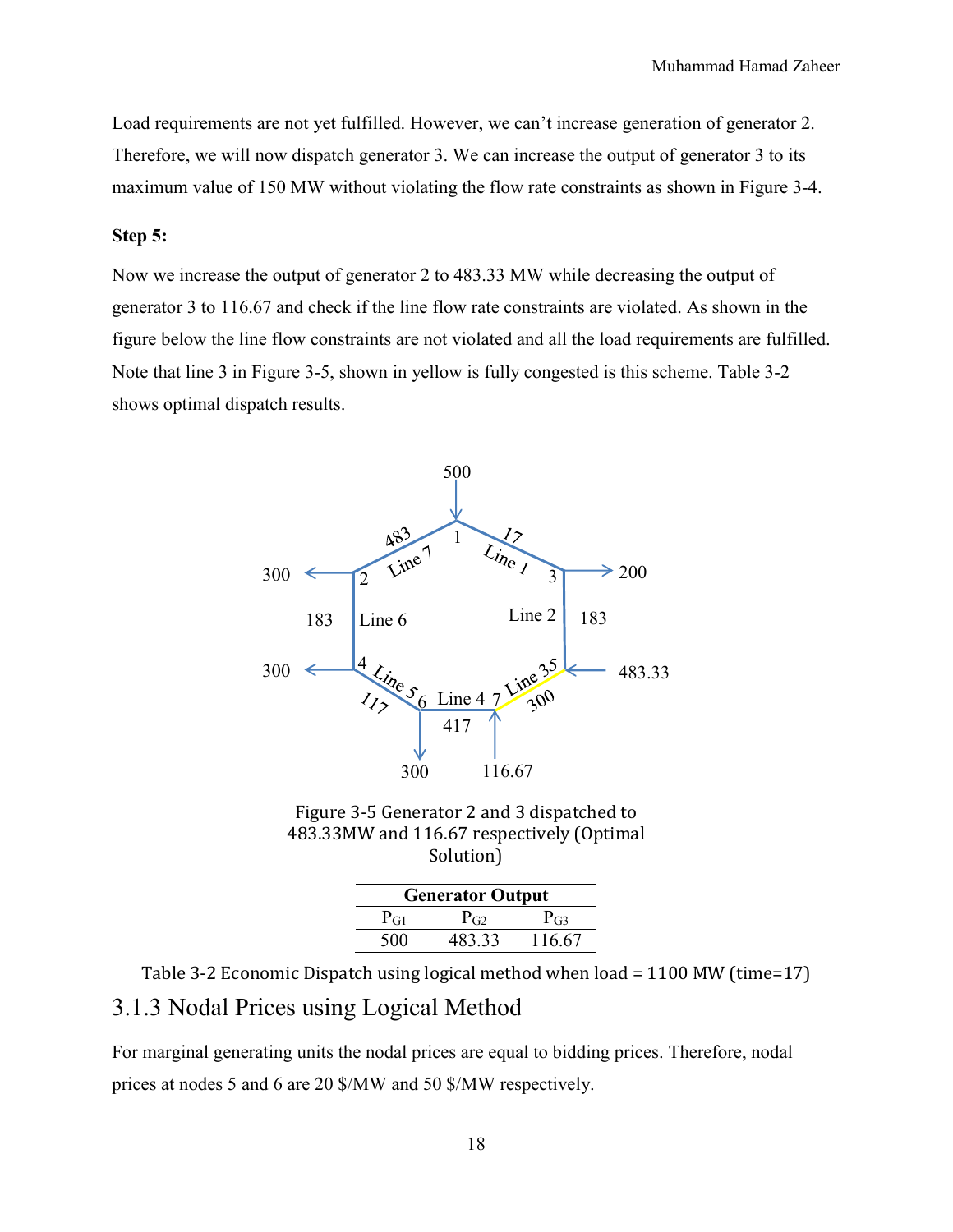Load requirements are not yet fulfilled. However, we can't increase generation of generator 2. Therefore, we will now dispatch generator 3. We can increase the output of generator 3 to its maximum value of 150 MW without violating the flow rate constraints as shown in Figure 3-4.

#### **Step 5:**

Now we increase the output of generator 2 to 483.33 MW while decreasing the output of generator 3 to 116.67 and check if the line flow rate constraints are violated. As shown in the figure below the line flow constraints are not violated and all the load requirements are fulfilled. Note that line 3 in Figure 3-5, shown in yellow is fully congested is this scheme. Table 3-2 shows optimal dispatch results.



Figure 3-5 Generator 2 and 3 dispatched to 483.33MW and 116.67 respectively (Optimal Solution)

| <b>Generator Output</b> |          |          |  |  |  |  |
|-------------------------|----------|----------|--|--|--|--|
| P <sub>GI</sub>         | $P_{G2}$ | $P_{G3}$ |  |  |  |  |
| 500                     | 483.33   | 116.67   |  |  |  |  |

Table 3-2 Economic Dispatch using logical method when load = 1100 MW (time=17) 3.1.3 Nodal Prices using Logical Method

For marginal generating units the nodal prices are equal to bidding prices. Therefore, nodal prices at nodes 5 and 6 are 20 \$/MW and 50 \$/MW respectively.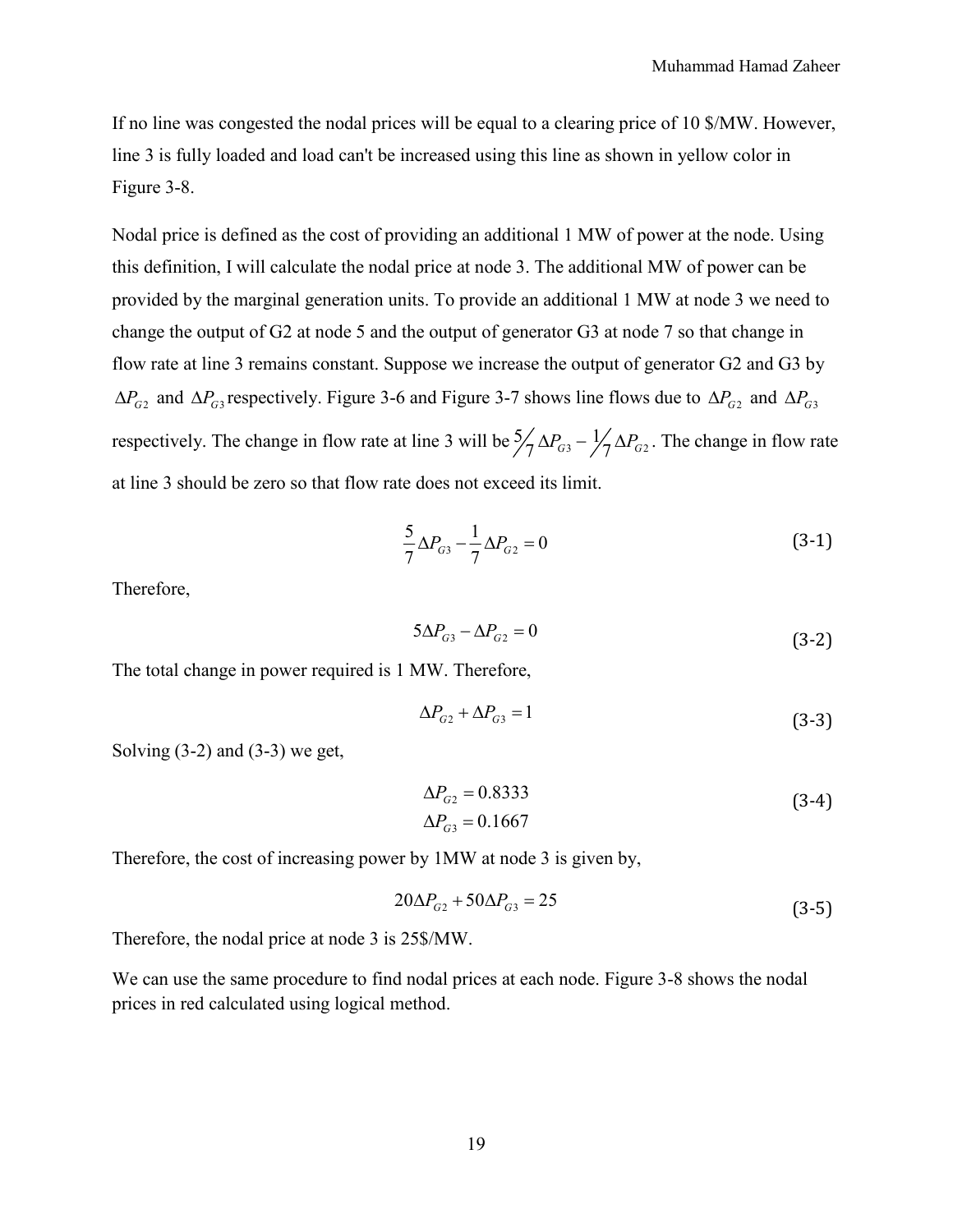If no line was congested the nodal prices will be equal to a clearing price of 10 \$/MW. However, line 3 is fully loaded and load can't be increased using this line as shown in yellow color in Figure 3-8.

Nodal price is defined as the cost of providing an additional 1 MW of power at the node. Using this definition, I will calculate the nodal price at node 3. The additional MW of power can be provided by the marginal generation units. To provide an additional 1 MW at node 3 we need to change the output of G2 at node 5 and the output of generator G3 at node 7 so that change in flow rate at line 3 remains constant. Suppose we increase the output of generator G2 and G3 by  $\Delta P_{G2}$  and  $\Delta P_{G3}$  respectively. Figure 3-6 and Figure 3-7 shows line flows due to  $\Delta P_{G2}$  and  $\Delta P_{G3}$ respectively. The change in flow rate at line 3 will be  $\frac{5}{7} \Delta P_{G3} - \frac{1}{7} \Delta P_{G2}$ . The change in flow rate at line 3 should be zero so that flow rate does not exceed its limit.

$$
\frac{5}{7}\Delta P_{G3} - \frac{1}{7}\Delta P_{G2} = 0\tag{3-1}
$$

Therefore,

$$
5\Delta P_{G3} - \Delta P_{G2} = 0\tag{3-2}
$$

The total change in power required is 1 MW. Therefore,

$$
\Delta P_{G2} + \Delta P_{G3} = 1\tag{3-3}
$$

Solving  $(3-2)$  and  $(3-3)$  we get,

$$
\Delta P_{G2} = 0.8333
$$
  
\n
$$
\Delta P_{G3} = 0.1667
$$
\n(3-4)

Therefore, the cost of increasing power by 1MW at node 3 is given by,

$$
20\Delta P_{G2} + 50\Delta P_{G3} = 25\tag{3-5}
$$

Therefore, the nodal price at node 3 is 25\$/MW.

We can use the same procedure to find nodal prices at each node. Figure 3-8 shows the nodal prices in red calculated using logical method.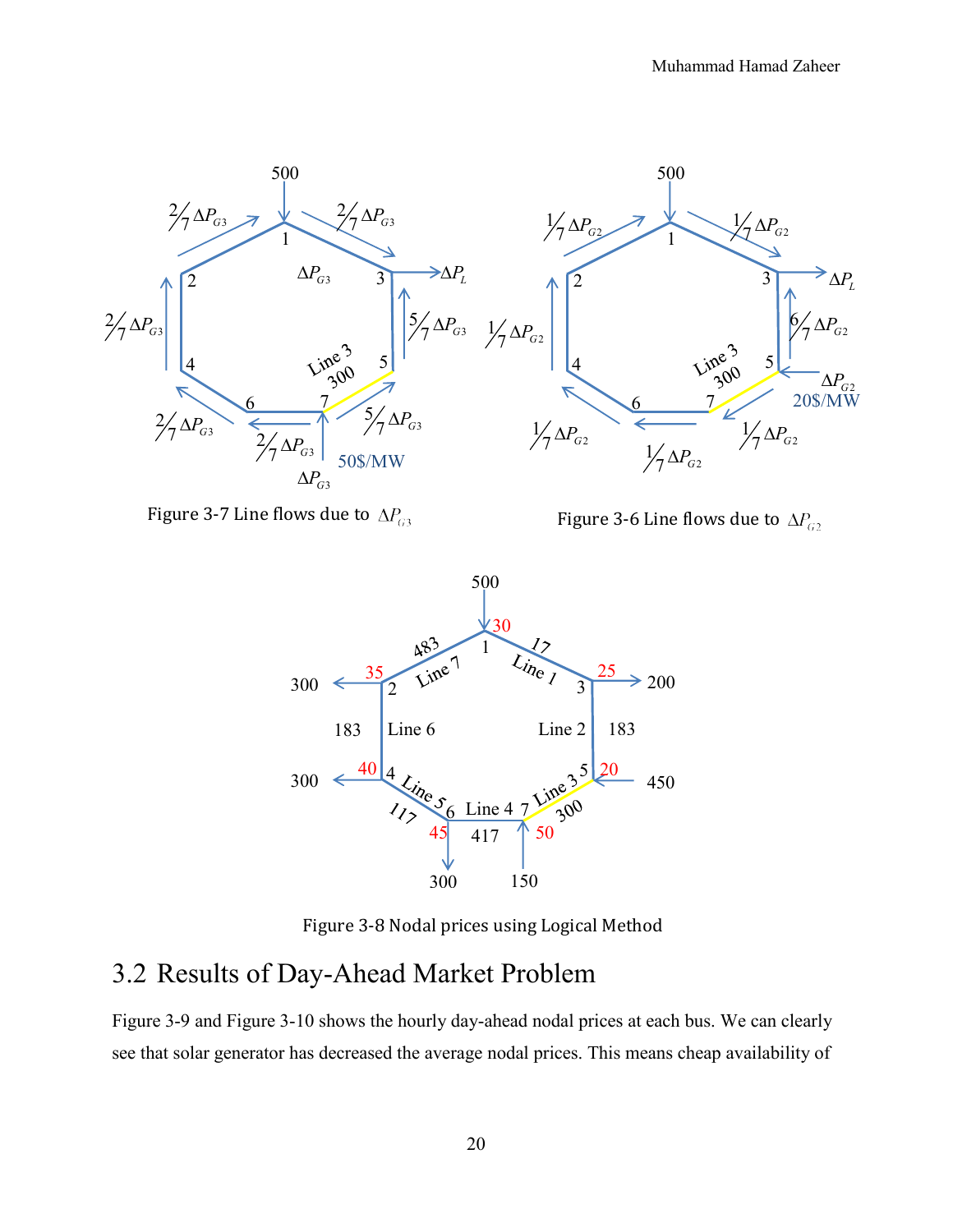

Figure 3-7 Line flows due to  $\Delta P_{G3}$ 

Figure 3-6 Line flows due to  $\Delta P_{G2}$ 



Figure 3-8 Nodal prices using Logical Method

### 3.2 Results of Day-Ahead Market Problem

Figure 3-9 and Figure 3-10 shows the hourly day-ahead nodal prices at each bus. We can clearly see that solar generator has decreased the average nodal prices. This means cheap availability of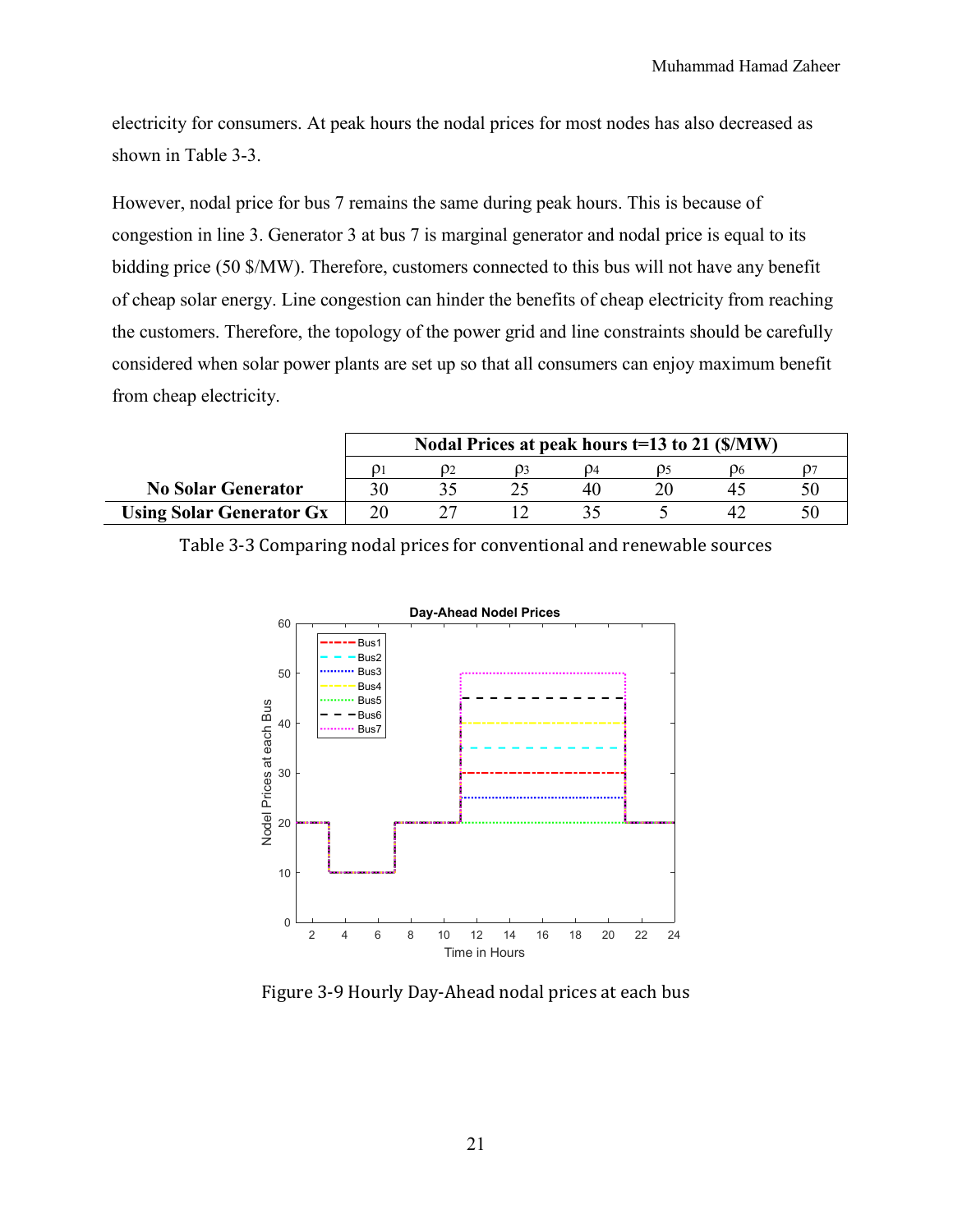electricity for consumers. At peak hours the nodal prices for most nodes has also decreased as shown in Table 3-3.

However, nodal price for bus 7 remains the same during peak hours. This is because of congestion in line 3. Generator 3 at bus 7 is marginal generator and nodal price is equal to its bidding price (50 \$/MW). Therefore, customers connected to this bus will not have any benefit of cheap solar energy. Line congestion can hinder the benefits of cheap electricity from reaching the customers. Therefore, the topology of the power grid and line constraints should be carefully considered when solar power plants are set up so that all consumers can enjoy maximum benefit from cheap electricity.

|                                 | Nodal Prices at peak hours t=13 to 21 (\$/MW) |               |  |    |  |   |  |  |
|---------------------------------|-----------------------------------------------|---------------|--|----|--|---|--|--|
|                                 |                                               | $\mathcal{D}$ |  |    |  |   |  |  |
| <b>No Solar Generator</b>       |                                               |               |  | 40 |  | 4 |  |  |
| <b>Using Solar Generator Gx</b> |                                               |               |  |    |  |   |  |  |

Table 3-3 Comparing nodal prices for conventional and renewable sources



Figure 3-9 Hourly Day-Ahead nodal prices at each bus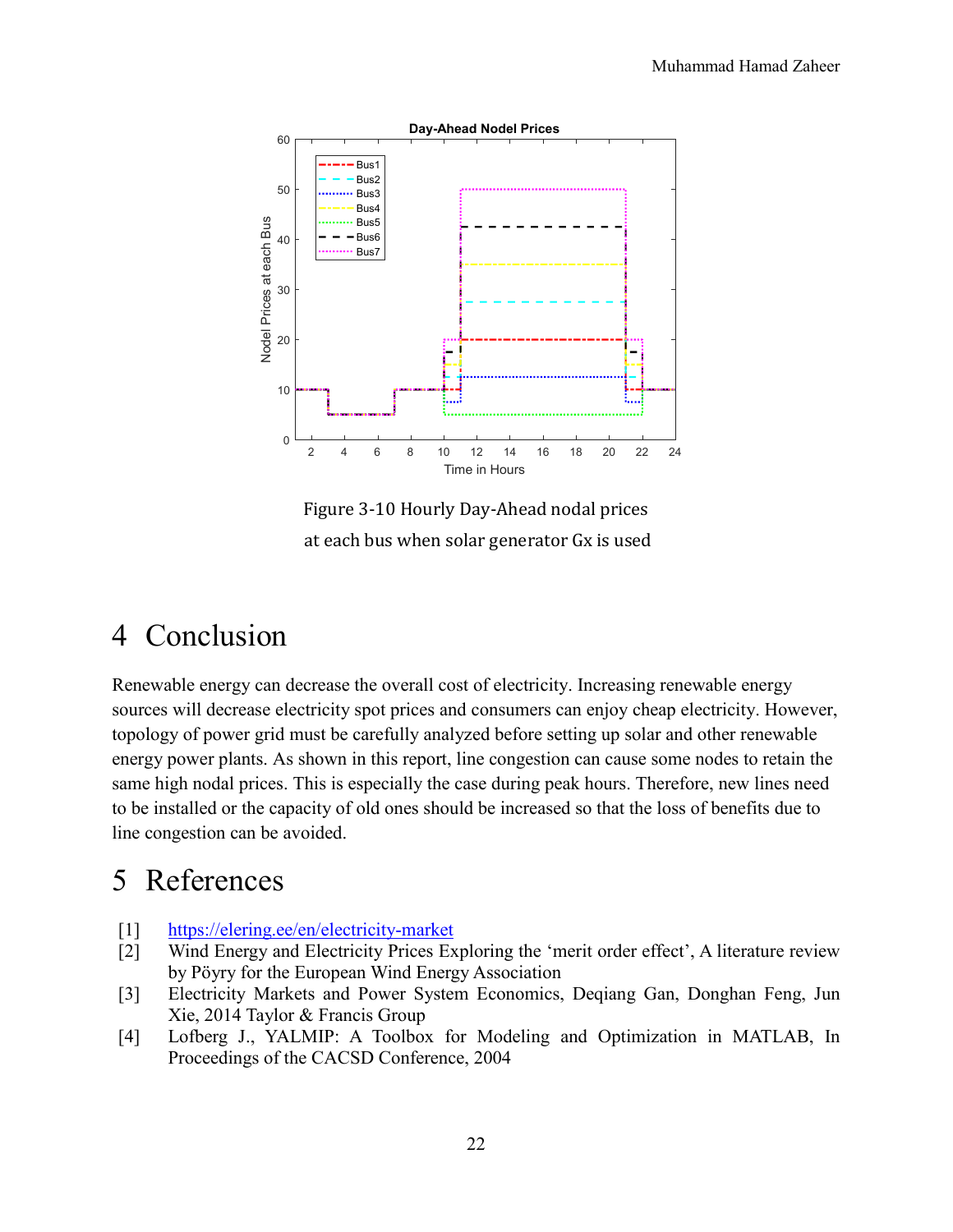

Figure 3-10 Hourly Day-Ahead nodal prices at each bus when solar generator Gx is used

## 4 Conclusion

Renewable energy can decrease the overall cost of electricity. Increasing renewable energy sources will decrease electricity spot prices and consumers can enjoy cheap electricity. However, topology of power grid must be carefully analyzed before setting up solar and other renewable energy power plants. As shown in this report, line congestion can cause some nodes to retain the same high nodal prices. This is especially the case during peak hours. Therefore, new lines need to be installed or the capacity of old ones should be increased so that the loss of benefits due to line congestion can be avoided.

## 5 References

- [1] https://elering.ee/en/electricity-market
- [2] Wind Energy and Electricity Prices Exploring the 'merit order effect', A literature review by Pöyry for the European Wind Energy Association
- [3] Electricity Markets and Power System Economics, Deqiang Gan, Donghan Feng, Jun Xie, 2014 Taylor & Francis Group
- [4] Lofberg J., YALMIP: A Toolbox for Modeling and Optimization in MATLAB, In Proceedings of the CACSD Conference, 2004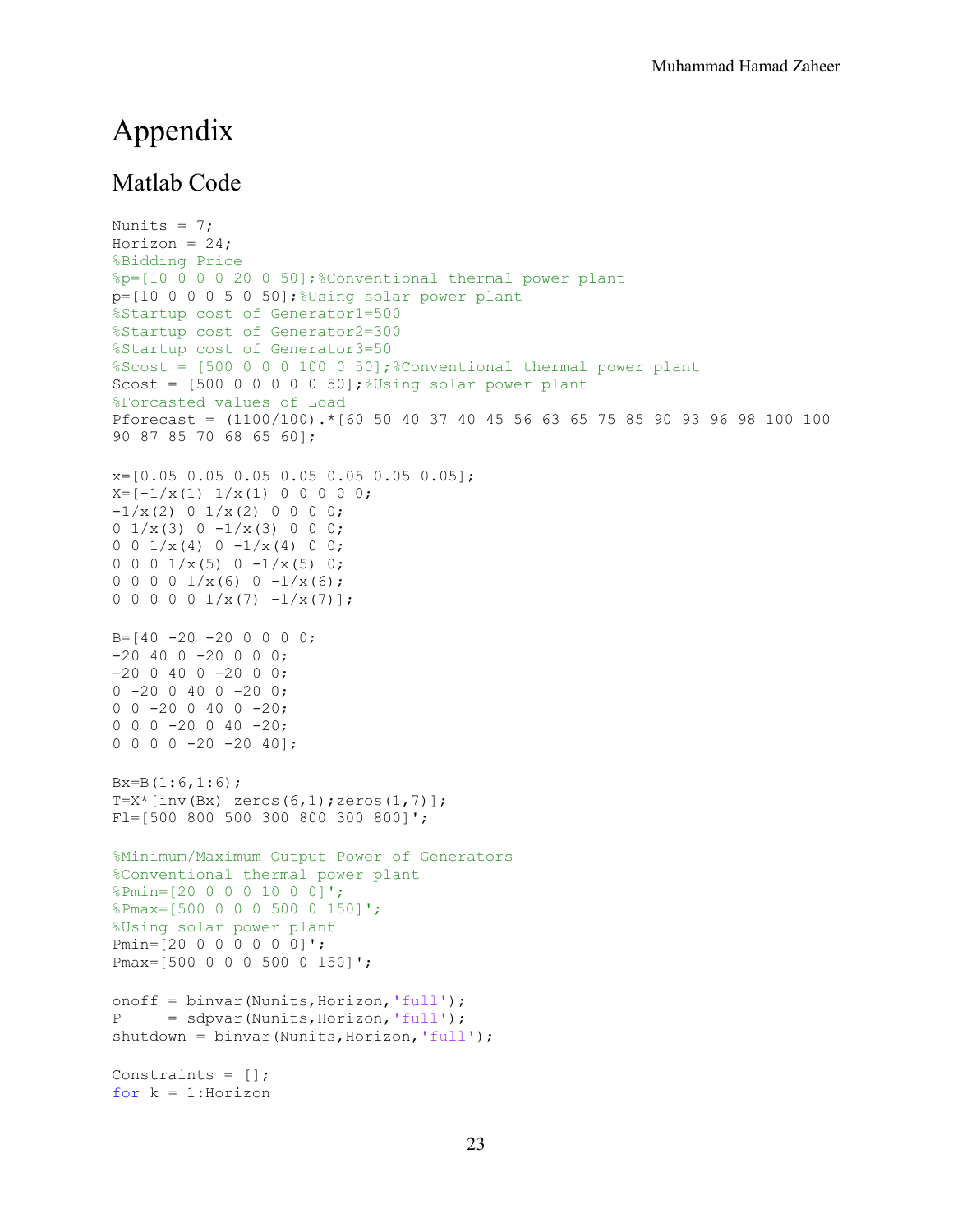### Appendix

#### Matlab Code

```
Nunits = 7;
Horizon = 24;%Bidding Price
%p=[10 0 0 0 20 0 50];%Conventional thermal power plant
p=[10 0 0 0 5 0 50]; Wsing solar power plant
%Startup cost of Generator1=500
%Startup cost of Generator2=300
%Startup cost of Generator3=50
%Scost = [500 0 0 0 100 0 50];%Conventional thermal power plant
Scost = [500 0 0 0 0 0 50]; %Using solar power plant
%Forcasted values of Load
Pforecast = (1100/100).*[60 50 40 37 40 45 56 63 65 75 85 90 93 96 98 100 100 
90 87 85 70 68 65 60];
x=[0.05 0.05 0.05 0.05 0.05 0.05 0.05];
X=[-1/x(1) 1/x(1) 0 0 0 0 0;-1/x(2) 0 1/x(2) 0 0 0 0;
0 \frac{1}{x(3)} 0 - \frac{1}{x(3)} 0 0;0 \t0 \t1/x(4) \t0 -1/x(4) \t0 0;0 0 0 1/x(5) 0 -1/x(5) 0;
0 0 0 0 1/x(6) 0 -1/x(6);
0 0 0 0 0 1/x(7) -1/x(7);
B=[40 -20 -20 0 0 0 0;-20 40 0 -20 0 0 0;
-20 0 40 0 -20 0 0;
0 -20 0 40 0 -20 0;0 \t 0 \t -20 \t 0 \t 40 \t 0 \t -20;0 \t0 \t0 \t-20 \t0 \t40 \t-20;0 0 0 0 -20 -20 40];
Bx=B(1:6,1:6);T=X^*[inv(Bx) zeros(6,1);zeros(1,7)];
Fl=[500 800 500 300 800 300 800]';
%Minimum/Maximum Output Power of Generators
%Conventional thermal power plant
%Pmin=[20 0 0 0 10 0 0]';
%Pmax=[500 0 0 0 500 0 150]';
%Using solar power plant
Pmin=[20 0 0 0 0 0 0]';
Pmax=[500 0 0 0 500 0 150]';
onoff = binvar (Nunits, Horizon, 'full');
P = sdpvar(Nunits,Horizon,'full');
shutdown = binvar (Nunits, Horizon, 'full');
Constraints = [];
for k = 1: Horizon
```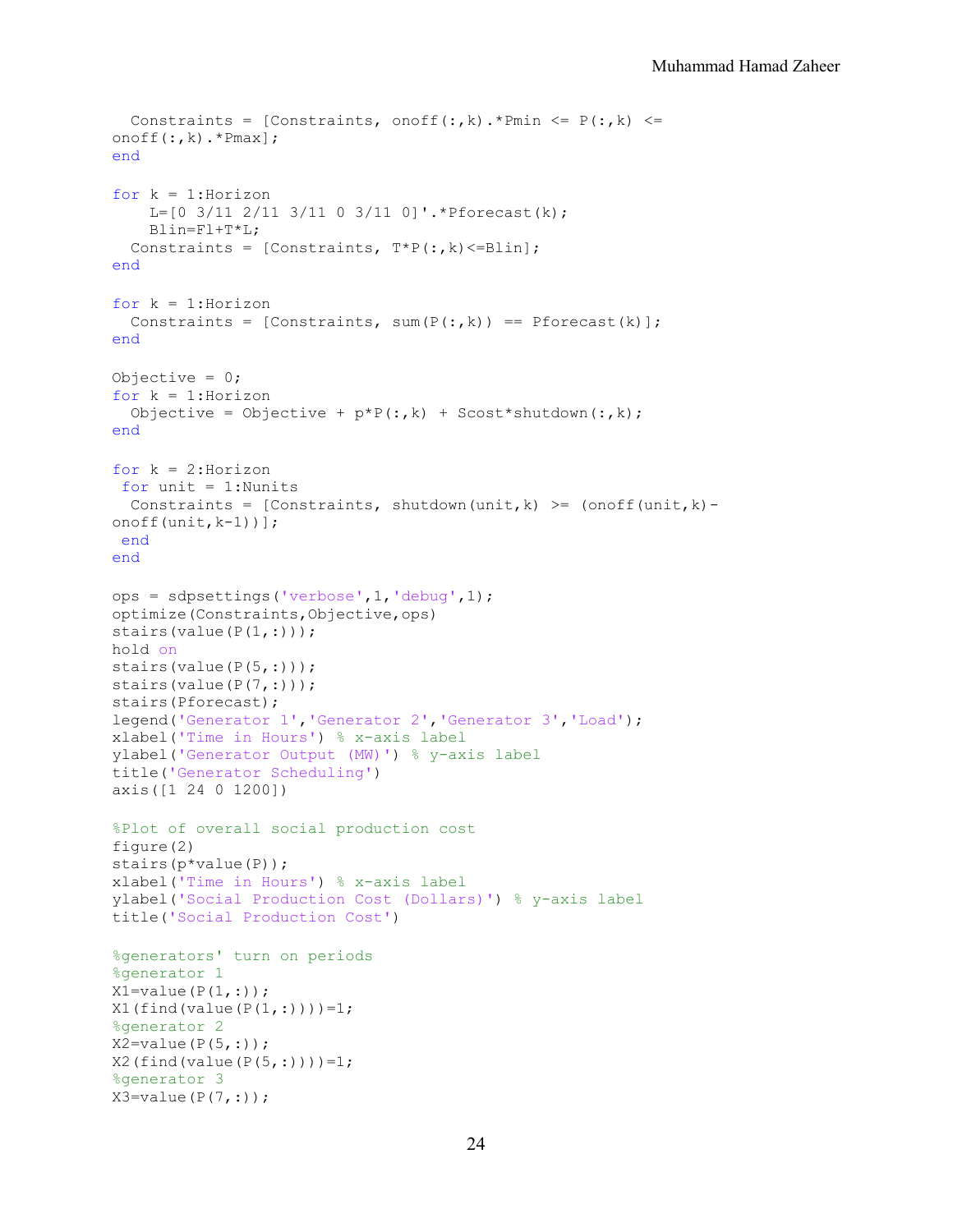```
Constraints = [Constraints, onoff(:,k). *Pmin <= P(:,k) <=
onoff(:,k).*Pmax];
end
for k = 1: Horizon
    L=[0 \t3/11 \t2/11 \t3/11 \t0 \t3/11 \t0]'. *Pforecast(k);
     Blin=Fl+T*L;
  Constraints = [Constraints, T*P(:,k) \leq Blin];end
for k = 1:Horizon
  Constraints = [Constraints, sum(P(:,k)) == Pforecast(k)];end
Objective = 0;for k = 1: Horizon
  Objective = Objective + p*P(:,k) + Scost*shutdown(:,k);
end
for k = 2:Horizon
for unit = 1: Nunits
 Constraints = [Constraints, shutdown(unit,k) >= (onoff(unit,k)-
onoff(unit,k-1))];
 end
end
ops = sdpsettings('verbose',1,'debug',1);
optimize(Constraints,Objective,ops)
stairs(value(P(1,:)));
hold on
stairs(value(P(5,:)));
stairs(value(P(7,:)));
stairs(Pforecast);
legend('Generator 1','Generator 2','Generator 3','Load');
xlabel('Time in Hours') % x-axis label
ylabel('Generator Output (MW)') % y-axis label
title('Generator Scheduling')
axis([1 24 0 1200])
%Plot of overall social production cost
figure(2)
stairs(p*value(P));
xlabel('Time in Hours') % x-axis label
ylabel('Social Production Cost (Dollars)') % y-axis label
title('Social Production Cost')
%generators' turn on periods
%generator 1
X1 = value(P(1,:));X1(find(value(P(1,:)))=1;%generator 2
X2 = value(P(5,:));X2(find(value(P(5,:)))=1;%generator 3
X3 = value(P(7,:));
```